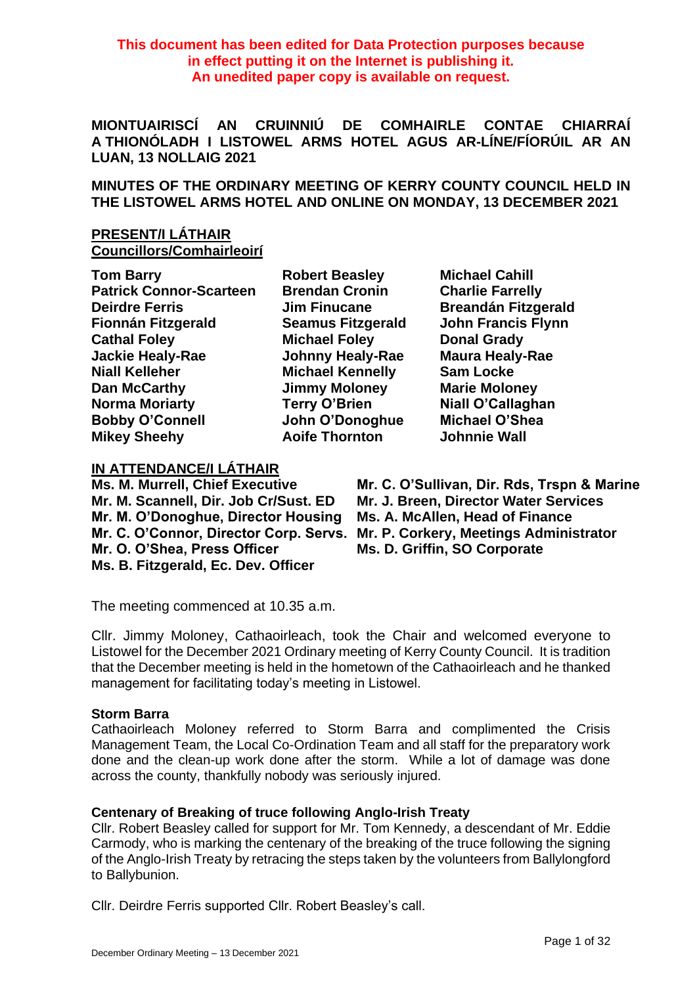**This document has been edited for Data Protection purposes because in effect putting it on the Internet is publishing it. An unedited paper copy is available on request.**

**MIONTUAIRISCÍ AN CRUINNIÚ DE COMHAIRLE CONTAE CHIARRAÍ A THIONÓLADH I LISTOWEL ARMS HOTEL AGUS AR-LÍNE/FÍORÚIL AR AN LUAN, 13 NOLLAIG 2021**

**MINUTES OF THE ORDINARY MEETING OF KERRY COUNTY COUNCIL HELD IN THE LISTOWEL ARMS HOTEL AND ONLINE ON MONDAY, 13 DECEMBER 2021**

**PRESENT/I LÁTHAIR Councillors/Comhairleoirí**

**Tom Barry Robert Beasley Michael Cahill Patrick Connor-Scarteen Brendan Cronin Charlie Farrelly Deirdre Ferris Jim Finucane Breandán Fitzgerald Fionnán Fitzgerald Seamus Fitzgerald John Francis Flynn Cathal Foley <b>Michael Foley Donal Grady Jackie Healy-Rae Johnny Healy-Rae Maura Healy-Rae Niall Kelleher Michael Kennelly Sam Locke Dan McCarthy Jimmy Moloney Marie Moloney Norma Moriarty Terry O'Brien Niall O'Callaghan Bobby O'Connell John O'Donoghue Michael O'Shea Mikey Sheehy Aoife Thornton Johnnie Wall**

## **IN ATTENDANCE/I LÁTHAIR**

**Mr. M. Scannell, Dir. Job Cr/Sust. ED Mr. J. Breen, Director Water Services Mr. M. O'Donoghue, Director Housing Ms. A. McAllen, Head of Finance Mr. O. O'Shea, Press Officer Ms. D. Griffin, SO Corporate Ms. B. Fitzgerald, Ec. Dev. Officer**

**Ms. M. Murrell, Chief Executive Mr. C. O'Sullivan, Dir. Rds, Trspn & Marine Mr. C. O'Connor, Director Corp. Servs. Mr. P. Corkery, Meetings Administrator**

The meeting commenced at 10.35 a.m.

Cllr. Jimmy Moloney, Cathaoirleach, took the Chair and welcomed everyone to Listowel for the December 2021 Ordinary meeting of Kerry County Council. It is tradition that the December meeting is held in the hometown of the Cathaoirleach and he thanked management for facilitating today's meeting in Listowel.

### **Storm Barra**

Cathaoirleach Moloney referred to Storm Barra and complimented the Crisis Management Team, the Local Co-Ordination Team and all staff for the preparatory work done and the clean-up work done after the storm. While a lot of damage was done across the county, thankfully nobody was seriously injured.

## **Centenary of Breaking of truce following Anglo-Irish Treaty**

Cllr. Robert Beasley called for support for Mr. Tom Kennedy, a descendant of Mr. Eddie Carmody, who is marking the centenary of the breaking of the truce following the signing of the Anglo-Irish Treaty by retracing the steps taken by the volunteers from Ballylongford to Ballybunion.

Cllr. Deirdre Ferris supported Cllr. Robert Beasley's call.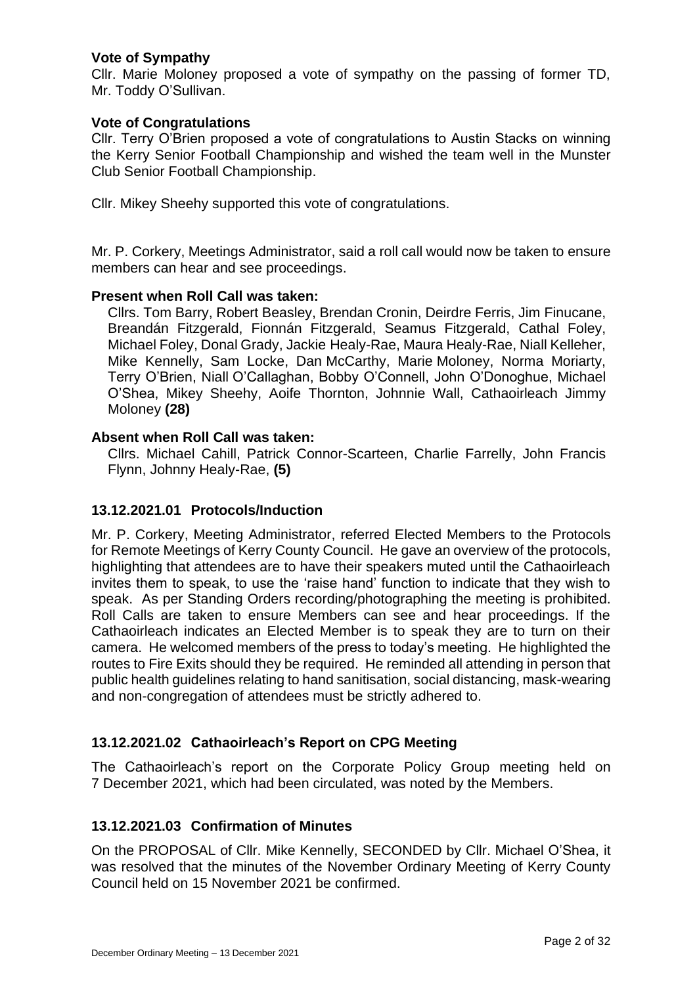## **Vote of Sympathy**

Cllr. Marie Moloney proposed a vote of sympathy on the passing of former TD, Mr. Toddy O'Sullivan.

### **Vote of Congratulations**

Cllr. Terry O'Brien proposed a vote of congratulations to Austin Stacks on winning the Kerry Senior Football Championship and wished the team well in the Munster Club Senior Football Championship.

Cllr. Mikey Sheehy supported this vote of congratulations.

Mr. P. Corkery, Meetings Administrator, said a roll call would now be taken to ensure members can hear and see proceedings.

## **Present when Roll Call was taken:**

Cllrs. Tom Barry, Robert Beasley, Brendan Cronin, Deirdre Ferris, Jim Finucane, Breandán Fitzgerald, Fionnán Fitzgerald, Seamus Fitzgerald, Cathal Foley, Michael Foley, Donal Grady, Jackie Healy-Rae, Maura Healy-Rae, Niall Kelleher, Mike Kennelly, Sam Locke, Dan McCarthy, Marie Moloney, Norma Moriarty, Terry O'Brien, Niall O'Callaghan, Bobby O'Connell, John O'Donoghue, Michael O'Shea, Mikey Sheehy, Aoife Thornton, Johnnie Wall, Cathaoirleach Jimmy Moloney **(28)**

## **Absent when Roll Call was taken:**

Cllrs. Michael Cahill, Patrick Connor-Scarteen, Charlie Farrelly, John Francis Flynn, Johnny Healy-Rae, **(5)**

# **13.12.2021.01 Protocols/Induction**

Mr. P. Corkery, Meeting Administrator, referred Elected Members to the Protocols for Remote Meetings of Kerry County Council. He gave an overview of the protocols, highlighting that attendees are to have their speakers muted until the Cathaoirleach invites them to speak, to use the 'raise hand' function to indicate that they wish to speak. As per Standing Orders recording/photographing the meeting is prohibited. Roll Calls are taken to ensure Members can see and hear proceedings. If the Cathaoirleach indicates an Elected Member is to speak they are to turn on their camera. He welcomed members of the press to today's meeting. He highlighted the routes to Fire Exits should they be required. He reminded all attending in person that public health guidelines relating to hand sanitisation, social distancing, mask-wearing and non-congregation of attendees must be strictly adhered to.

# **13.12.2021.02 Cathaoirleach's Report on CPG Meeting**

The Cathaoirleach's report on the Corporate Policy Group meeting held on 7 December 2021, which had been circulated, was noted by the Members.

## **13.12.2021.03 Confirmation of Minutes**

On the PROPOSAL of Cllr. Mike Kennelly, SECONDED by Cllr. Michael O'Shea, it was resolved that the minutes of the November Ordinary Meeting of Kerry County Council held on 15 November 2021 be confirmed.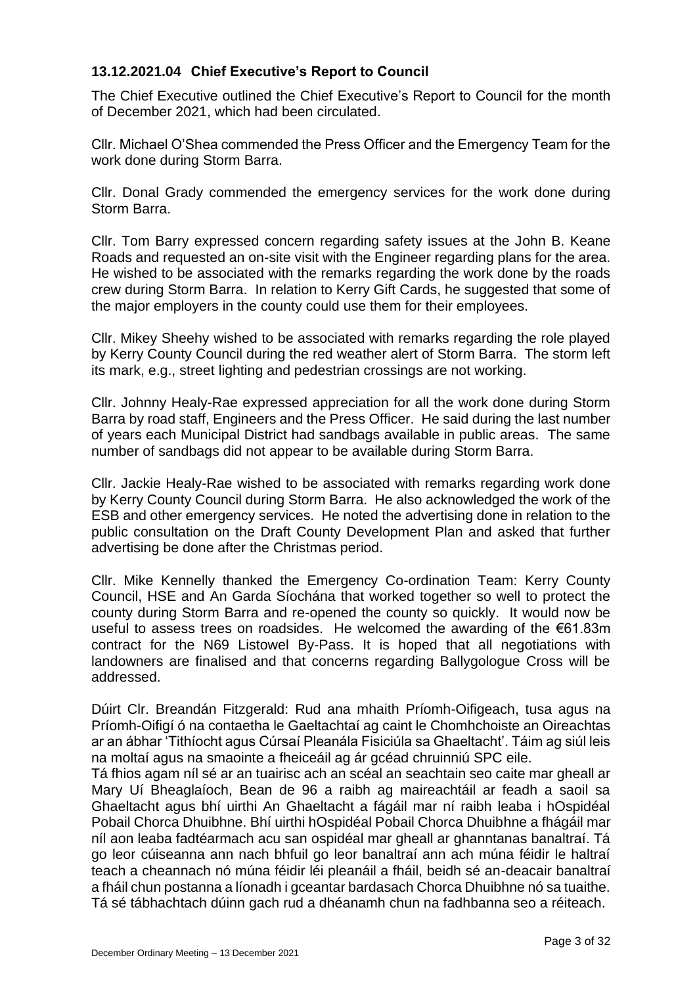# **13.12.2021.04 Chief Executive's Report to Council**

The Chief Executive outlined the Chief Executive's Report to Council for the month of December 2021, which had been circulated.

Cllr. Michael O'Shea commended the Press Officer and the Emergency Team for the work done during Storm Barra.

Cllr. Donal Grady commended the emergency services for the work done during Storm Barra.

Cllr. Tom Barry expressed concern regarding safety issues at the John B. Keane Roads and requested an on-site visit with the Engineer regarding plans for the area. He wished to be associated with the remarks regarding the work done by the roads crew during Storm Barra. In relation to Kerry Gift Cards, he suggested that some of the major employers in the county could use them for their employees.

Cllr. Mikey Sheehy wished to be associated with remarks regarding the role played by Kerry County Council during the red weather alert of Storm Barra. The storm left its mark, e.g., street lighting and pedestrian crossings are not working.

Cllr. Johnny Healy-Rae expressed appreciation for all the work done during Storm Barra by road staff, Engineers and the Press Officer. He said during the last number of years each Municipal District had sandbags available in public areas. The same number of sandbags did not appear to be available during Storm Barra.

Cllr. Jackie Healy-Rae wished to be associated with remarks regarding work done by Kerry County Council during Storm Barra. He also acknowledged the work of the ESB and other emergency services. He noted the advertising done in relation to the public consultation on the Draft County Development Plan and asked that further advertising be done after the Christmas period.

Cllr. Mike Kennelly thanked the Emergency Co-ordination Team: Kerry County Council, HSE and An Garda Síochána that worked together so well to protect the county during Storm Barra and re-opened the county so quickly. It would now be useful to assess trees on roadsides. He welcomed the awarding of the €61.83m contract for the N69 Listowel By-Pass. It is hoped that all negotiations with landowners are finalised and that concerns regarding Ballygologue Cross will be addressed.

Dúirt Clr. Breandán Fitzgerald: Rud ana mhaith Príomh-Oifigeach, tusa agus na Príomh-Oifigí ó na contaetha le Gaeltachtaí ag caint le Chomhchoiste an Oireachtas ar an ábhar 'Tithíocht agus Cúrsaí Pleanála Fisiciúla sa Ghaeltacht'. Táim ag siúl leis na moltaí agus na smaointe a fheiceáil ag ár gcéad chruinniú SPC eile.

Tá fhios agam níl sé ar an tuairisc ach an scéal an seachtain seo caite mar gheall ar Mary Uí Bheaglaíoch, Bean de 96 a raibh ag maireachtáil ar feadh a saoil sa Ghaeltacht agus bhí uirthi An Ghaeltacht a fágáil mar ní raibh leaba i hOspidéal Pobail Chorca Dhuibhne. Bhí uirthi hOspidéal Pobail Chorca Dhuibhne a fhágáil mar níl aon leaba fadtéarmach acu san ospidéal mar gheall ar ghanntanas banaltraí. Tá go leor cúiseanna ann nach bhfuil go leor banaltraí ann ach múna féidir le haltraí teach a cheannach nó múna féidir léi pleanáil a fháil, beidh sé an-deacair banaltraí a fháil chun postanna a líonadh i gceantar bardasach Chorca Dhuibhne nó sa tuaithe. Tá sé tábhachtach dúinn gach rud a dhéanamh chun na fadhbanna seo a réiteach.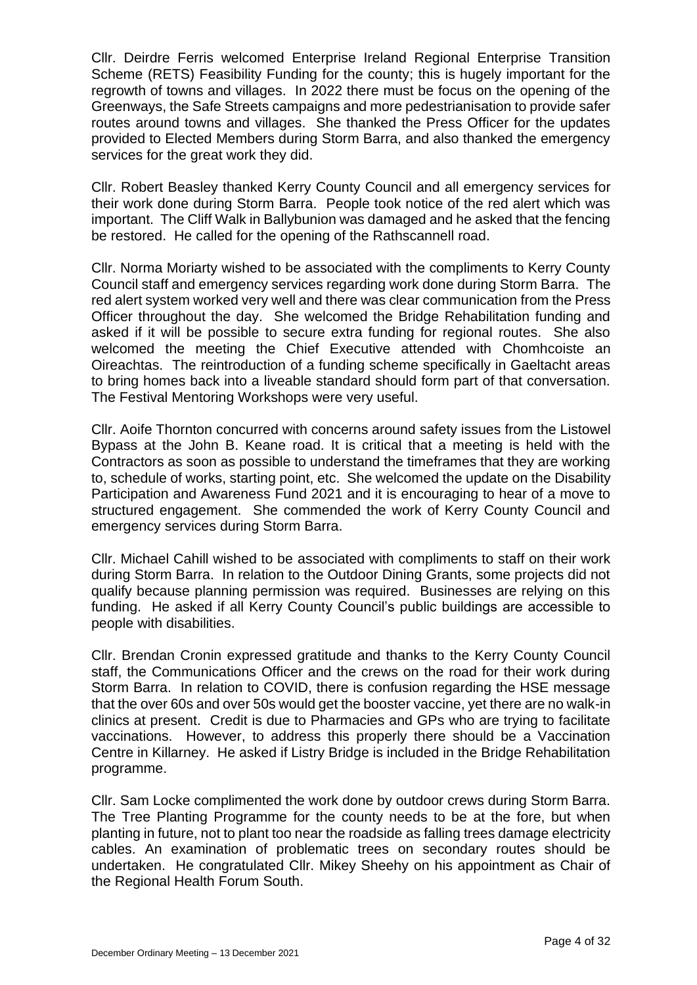Cllr. Deirdre Ferris welcomed Enterprise Ireland Regional Enterprise Transition Scheme (RETS) Feasibility Funding for the county; this is hugely important for the regrowth of towns and villages. In 2022 there must be focus on the opening of the Greenways, the Safe Streets campaigns and more pedestrianisation to provide safer routes around towns and villages. She thanked the Press Officer for the updates provided to Elected Members during Storm Barra, and also thanked the emergency services for the great work they did.

Cllr. Robert Beasley thanked Kerry County Council and all emergency services for their work done during Storm Barra. People took notice of the red alert which was important. The Cliff Walk in Ballybunion was damaged and he asked that the fencing be restored. He called for the opening of the Rathscannell road.

Cllr. Norma Moriarty wished to be associated with the compliments to Kerry County Council staff and emergency services regarding work done during Storm Barra. The red alert system worked very well and there was clear communication from the Press Officer throughout the day. She welcomed the Bridge Rehabilitation funding and asked if it will be possible to secure extra funding for regional routes. She also welcomed the meeting the Chief Executive attended with Chomhcoiste an Oireachtas. The reintroduction of a funding scheme specifically in Gaeltacht areas to bring homes back into a liveable standard should form part of that conversation. The Festival Mentoring Workshops were very useful.

Cllr. Aoife Thornton concurred with concerns around safety issues from the Listowel Bypass at the John B. Keane road. It is critical that a meeting is held with the Contractors as soon as possible to understand the timeframes that they are working to, schedule of works, starting point, etc. She welcomed the update on the Disability Participation and Awareness Fund 2021 and it is encouraging to hear of a move to structured engagement. She commended the work of Kerry County Council and emergency services during Storm Barra.

Cllr. Michael Cahill wished to be associated with compliments to staff on their work during Storm Barra. In relation to the Outdoor Dining Grants, some projects did not qualify because planning permission was required. Businesses are relying on this funding. He asked if all Kerry County Council's public buildings are accessible to people with disabilities.

Cllr. Brendan Cronin expressed gratitude and thanks to the Kerry County Council staff, the Communications Officer and the crews on the road for their work during Storm Barra. In relation to COVID, there is confusion regarding the HSE message that the over 60s and over 50s would get the booster vaccine, yet there are no walk-in clinics at present. Credit is due to Pharmacies and GPs who are trying to facilitate vaccinations. However, to address this properly there should be a Vaccination Centre in Killarney. He asked if Listry Bridge is included in the Bridge Rehabilitation programme.

Cllr. Sam Locke complimented the work done by outdoor crews during Storm Barra. The Tree Planting Programme for the county needs to be at the fore, but when planting in future, not to plant too near the roadside as falling trees damage electricity cables. An examination of problematic trees on secondary routes should be undertaken. He congratulated Cllr. Mikey Sheehy on his appointment as Chair of the Regional Health Forum South.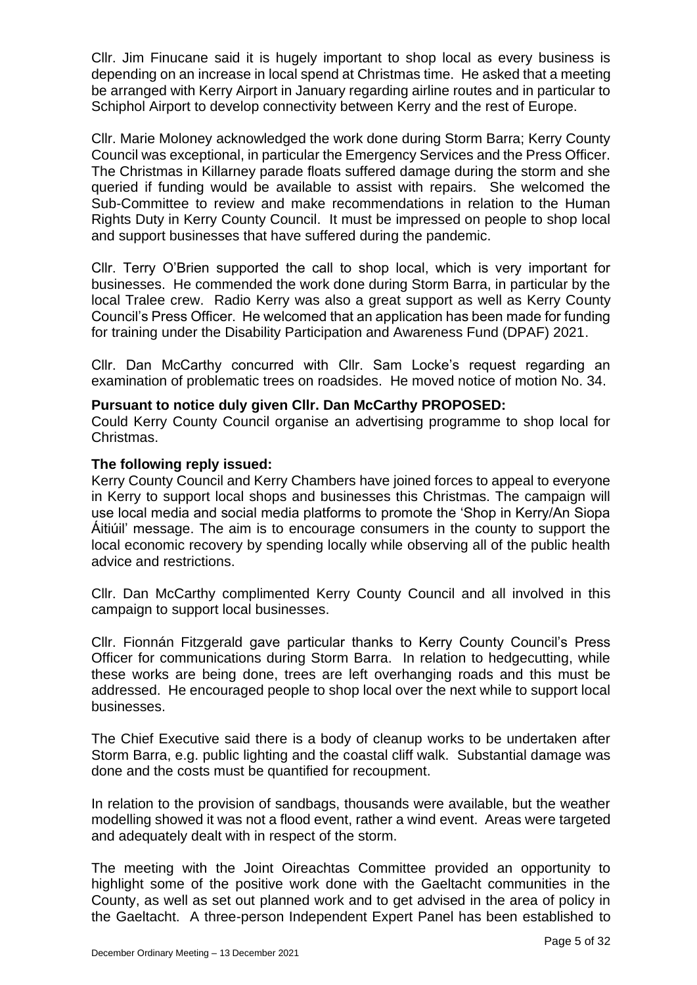Cllr. Jim Finucane said it is hugely important to shop local as every business is depending on an increase in local spend at Christmas time. He asked that a meeting be arranged with Kerry Airport in January regarding airline routes and in particular to Schiphol Airport to develop connectivity between Kerry and the rest of Europe.

Cllr. Marie Moloney acknowledged the work done during Storm Barra; Kerry County Council was exceptional, in particular the Emergency Services and the Press Officer. The Christmas in Killarney parade floats suffered damage during the storm and she queried if funding would be available to assist with repairs. She welcomed the Sub-Committee to review and make recommendations in relation to the Human Rights Duty in Kerry County Council. It must be impressed on people to shop local and support businesses that have suffered during the pandemic.

Cllr. Terry O'Brien supported the call to shop local, which is very important for businesses. He commended the work done during Storm Barra, in particular by the local Tralee crew. Radio Kerry was also a great support as well as Kerry County Council's Press Officer. He welcomed that an application has been made for funding for training under the Disability Participation and Awareness Fund (DPAF) 2021.

Cllr. Dan McCarthy concurred with Cllr. Sam Locke's request regarding an examination of problematic trees on roadsides. He moved notice of motion No. 34.

### **Pursuant to notice duly given Cllr. Dan McCarthy PROPOSED:**

Could Kerry County Council organise an advertising programme to shop local for Christmas.

### **The following reply issued:**

Kerry County Council and Kerry Chambers have joined forces to appeal to everyone in Kerry to support local shops and businesses this Christmas. The campaign will use local media and social media platforms to promote the 'Shop in Kerry/An Siopa Áitiúil' message. The aim is to encourage consumers in the county to support the local economic recovery by spending locally while observing all of the public health advice and restrictions.

Cllr. Dan McCarthy complimented Kerry County Council and all involved in this campaign to support local businesses.

Cllr. Fionnán Fitzgerald gave particular thanks to Kerry County Council's Press Officer for communications during Storm Barra. In relation to hedgecutting, while these works are being done, trees are left overhanging roads and this must be addressed. He encouraged people to shop local over the next while to support local businesses.

The Chief Executive said there is a body of cleanup works to be undertaken after Storm Barra, e.g. public lighting and the coastal cliff walk. Substantial damage was done and the costs must be quantified for recoupment.

In relation to the provision of sandbags, thousands were available, but the weather modelling showed it was not a flood event, rather a wind event. Areas were targeted and adequately dealt with in respect of the storm.

The meeting with the Joint Oireachtas Committee provided an opportunity to highlight some of the positive work done with the Gaeltacht communities in the County, as well as set out planned work and to get advised in the area of policy in the Gaeltacht. A three-person Independent Expert Panel has been established to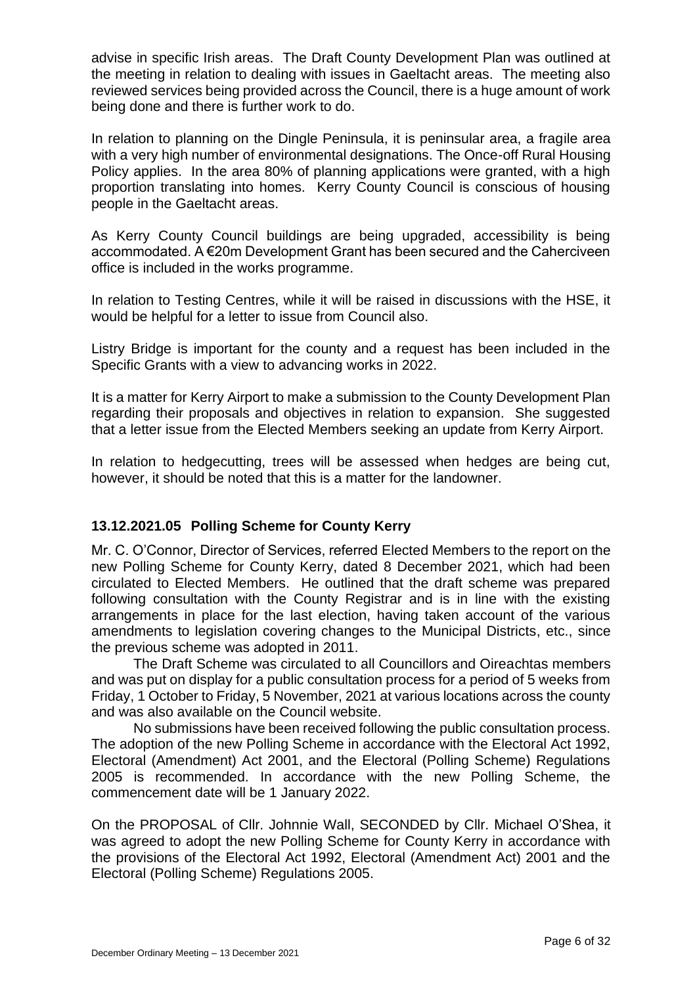advise in specific Irish areas. The Draft County Development Plan was outlined at the meeting in relation to dealing with issues in Gaeltacht areas. The meeting also reviewed services being provided across the Council, there is a huge amount of work being done and there is further work to do.

In relation to planning on the Dingle Peninsula, it is peninsular area, a fragile area with a very high number of environmental designations. The Once-off Rural Housing Policy applies. In the area 80% of planning applications were granted, with a high proportion translating into homes. Kerry County Council is conscious of housing people in the Gaeltacht areas.

As Kerry County Council buildings are being upgraded, accessibility is being accommodated. A €20m Development Grant has been secured and the Caherciveen office is included in the works programme.

In relation to Testing Centres, while it will be raised in discussions with the HSE, it would be helpful for a letter to issue from Council also.

Listry Bridge is important for the county and a request has been included in the Specific Grants with a view to advancing works in 2022.

It is a matter for Kerry Airport to make a submission to the County Development Plan regarding their proposals and objectives in relation to expansion. She suggested that a letter issue from the Elected Members seeking an update from Kerry Airport.

In relation to hedgecutting, trees will be assessed when hedges are being cut, however, it should be noted that this is a matter for the landowner.

# **13.12.2021.05 Polling Scheme for County Kerry**

Mr. C. O'Connor, Director of Services, referred Elected Members to the report on the new Polling Scheme for County Kerry, dated 8 December 2021, which had been circulated to Elected Members. He outlined that the draft scheme was prepared following consultation with the County Registrar and is in line with the existing arrangements in place for the last election, having taken account of the various amendments to legislation covering changes to the Municipal Districts, etc., since the previous scheme was adopted in 2011.

The Draft Scheme was circulated to all Councillors and Oireachtas members and was put on display for a public consultation process for a period of 5 weeks from Friday, 1 October to Friday, 5 November, 2021 at various locations across the county and was also available on the Council website.

No submissions have been received following the public consultation process. The adoption of the new Polling Scheme in accordance with the Electoral Act 1992, Electoral (Amendment) Act 2001, and the Electoral (Polling Scheme) Regulations 2005 is recommended. In accordance with the new Polling Scheme, the commencement date will be 1 January 2022.

On the PROPOSAL of Cllr. Johnnie Wall, SECONDED by Cllr. Michael O'Shea, it was agreed to adopt the new Polling Scheme for County Kerry in accordance with the provisions of the Electoral Act 1992, Electoral (Amendment Act) 2001 and the Electoral (Polling Scheme) Regulations 2005.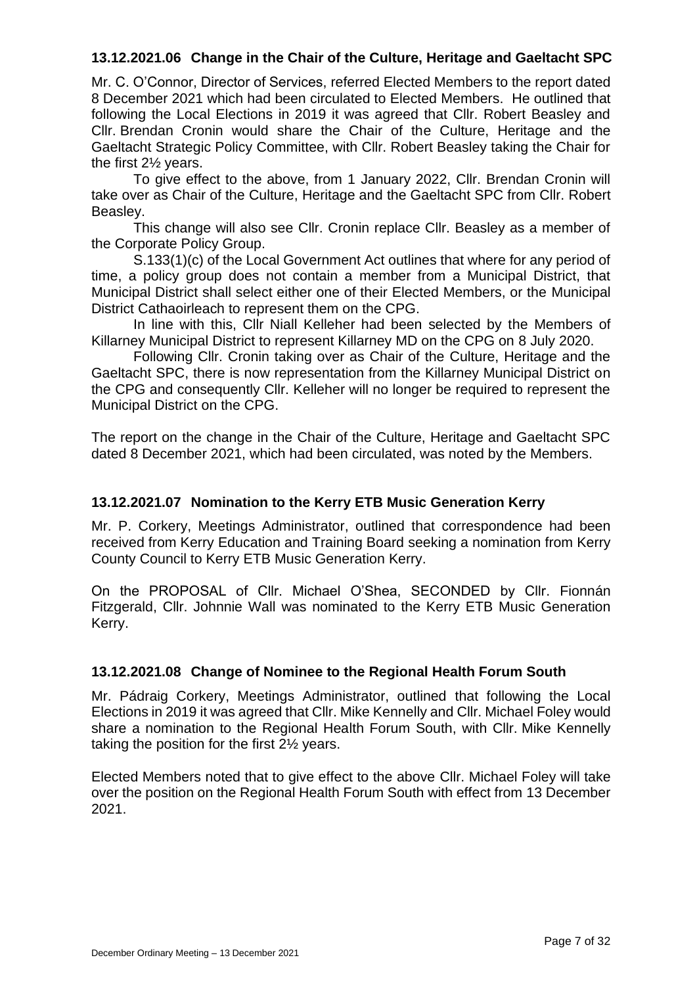# **13.12.2021.06 Change in the Chair of the Culture, Heritage and Gaeltacht SPC**

Mr. C. O'Connor, Director of Services, referred Elected Members to the report dated 8 December 2021 which had been circulated to Elected Members. He outlined that following the Local Elections in 2019 it was agreed that Cllr. Robert Beasley and Cllr. Brendan Cronin would share the Chair of the Culture, Heritage and the Gaeltacht Strategic Policy Committee, with Cllr. Robert Beasley taking the Chair for the first 2½ years.

To give effect to the above, from 1 January 2022, Cllr. Brendan Cronin will take over as Chair of the Culture, Heritage and the Gaeltacht SPC from Cllr. Robert Beasley.

This change will also see Cllr. Cronin replace Cllr. Beasley as a member of the Corporate Policy Group.

S.133(1)(c) of the Local Government Act outlines that where for any period of time, a policy group does not contain a member from a Municipal District, that Municipal District shall select either one of their Elected Members, or the Municipal District Cathaoirleach to represent them on the CPG.

In line with this, Cllr Niall Kelleher had been selected by the Members of Killarney Municipal District to represent Killarney MD on the CPG on 8 July 2020.

Following Cllr. Cronin taking over as Chair of the Culture, Heritage and the Gaeltacht SPC, there is now representation from the Killarney Municipal District on the CPG and consequently Cllr. Kelleher will no longer be required to represent the Municipal District on the CPG.

The report on the change in the Chair of the Culture, Heritage and Gaeltacht SPC dated 8 December 2021, which had been circulated, was noted by the Members.

### **13.12.2021.07 Nomination to the Kerry ETB Music Generation Kerry**

Mr. P. Corkery, Meetings Administrator, outlined that correspondence had been received from Kerry Education and Training Board seeking a nomination from Kerry County Council to Kerry ETB Music Generation Kerry.

On the PROPOSAL of Cllr. Michael O'Shea, SECONDED by Cllr. Fionnán Fitzgerald, Cllr. Johnnie Wall was nominated to the Kerry ETB Music Generation Kerry.

### **13.12.2021.08 Change of Nominee to the Regional Health Forum South**

Mr. Pádraig Corkery, Meetings Administrator, outlined that following the Local Elections in 2019 it was agreed that Cllr. Mike Kennelly and Cllr. Michael Foley would share a nomination to the Regional Health Forum South, with Cllr. Mike Kennelly taking the position for the first 2½ years.

Elected Members noted that to give effect to the above Cllr. Michael Foley will take over the position on the Regional Health Forum South with effect from 13 December 2021.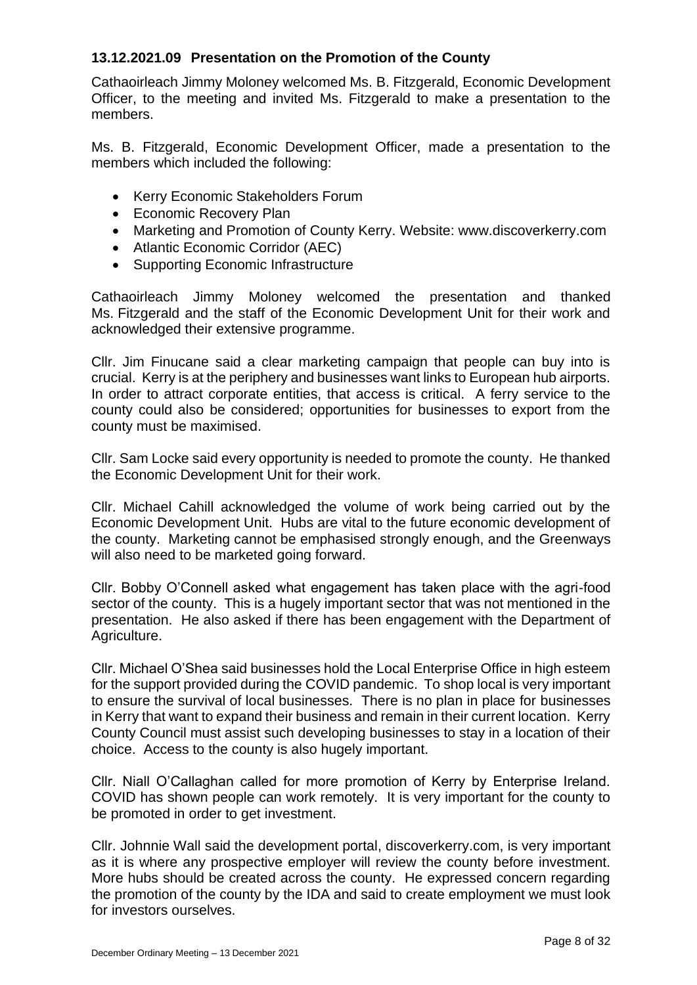# **13.12.2021.09 Presentation on the Promotion of the County**

Cathaoirleach Jimmy Moloney welcomed Ms. B. Fitzgerald, Economic Development Officer, to the meeting and invited Ms. Fitzgerald to make a presentation to the members.

Ms. B. Fitzgerald, Economic Development Officer, made a presentation to the members which included the following:

- Kerry Economic Stakeholders Forum
- Economic Recovery Plan
- Marketing and Promotion of County Kerry. Website: www.discoverkerry.com
- Atlantic Economic Corridor (AEC)
- Supporting Economic Infrastructure

Cathaoirleach Jimmy Moloney welcomed the presentation and thanked Ms. Fitzgerald and the staff of the Economic Development Unit for their work and acknowledged their extensive programme.

Cllr. Jim Finucane said a clear marketing campaign that people can buy into is crucial. Kerry is at the periphery and businesses want links to European hub airports. In order to attract corporate entities, that access is critical. A ferry service to the county could also be considered; opportunities for businesses to export from the county must be maximised.

Cllr. Sam Locke said every opportunity is needed to promote the county. He thanked the Economic Development Unit for their work.

Cllr. Michael Cahill acknowledged the volume of work being carried out by the Economic Development Unit. Hubs are vital to the future economic development of the county. Marketing cannot be emphasised strongly enough, and the Greenways will also need to be marketed going forward.

Cllr. Bobby O'Connell asked what engagement has taken place with the agri-food sector of the county. This is a hugely important sector that was not mentioned in the presentation. He also asked if there has been engagement with the Department of Agriculture.

Cllr. Michael O'Shea said businesses hold the Local Enterprise Office in high esteem for the support provided during the COVID pandemic. To shop local is very important to ensure the survival of local businesses. There is no plan in place for businesses in Kerry that want to expand their business and remain in their current location. Kerry County Council must assist such developing businesses to stay in a location of their choice. Access to the county is also hugely important.

Cllr. Niall O'Callaghan called for more promotion of Kerry by Enterprise Ireland. COVID has shown people can work remotely. It is very important for the county to be promoted in order to get investment.

Cllr. Johnnie Wall said the development portal, discoverkerry.com, is very important as it is where any prospective employer will review the county before investment. More hubs should be created across the county. He expressed concern regarding the promotion of the county by the IDA and said to create employment we must look for investors ourselves.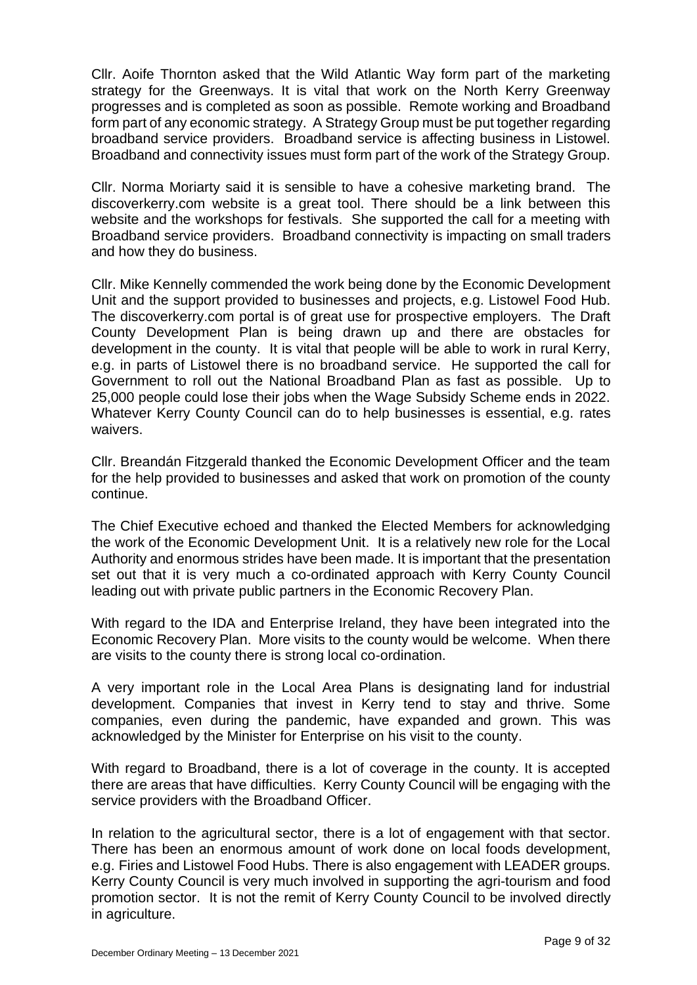Cllr. Aoife Thornton asked that the Wild Atlantic Way form part of the marketing strategy for the Greenways. It is vital that work on the North Kerry Greenway progresses and is completed as soon as possible. Remote working and Broadband form part of any economic strategy. A Strategy Group must be put together regarding broadband service providers. Broadband service is affecting business in Listowel. Broadband and connectivity issues must form part of the work of the Strategy Group.

Cllr. Norma Moriarty said it is sensible to have a cohesive marketing brand. The discoverkerry.com website is a great tool. There should be a link between this website and the workshops for festivals. She supported the call for a meeting with Broadband service providers. Broadband connectivity is impacting on small traders and how they do business.

Cllr. Mike Kennelly commended the work being done by the Economic Development Unit and the support provided to businesses and projects, e.g. Listowel Food Hub. The discoverkerry.com portal is of great use for prospective employers. The Draft County Development Plan is being drawn up and there are obstacles for development in the county. It is vital that people will be able to work in rural Kerry, e.g. in parts of Listowel there is no broadband service. He supported the call for Government to roll out the National Broadband Plan as fast as possible. Up to 25,000 people could lose their jobs when the Wage Subsidy Scheme ends in 2022. Whatever Kerry County Council can do to help businesses is essential, e.g. rates waivers.

Cllr. Breandán Fitzgerald thanked the Economic Development Officer and the team for the help provided to businesses and asked that work on promotion of the county continue.

The Chief Executive echoed and thanked the Elected Members for acknowledging the work of the Economic Development Unit. It is a relatively new role for the Local Authority and enormous strides have been made. It is important that the presentation set out that it is very much a co-ordinated approach with Kerry County Council leading out with private public partners in the Economic Recovery Plan.

With regard to the IDA and Enterprise Ireland, they have been integrated into the Economic Recovery Plan. More visits to the county would be welcome. When there are visits to the county there is strong local co-ordination.

A very important role in the Local Area Plans is designating land for industrial development. Companies that invest in Kerry tend to stay and thrive. Some companies, even during the pandemic, have expanded and grown. This was acknowledged by the Minister for Enterprise on his visit to the county.

With regard to Broadband, there is a lot of coverage in the county. It is accepted there are areas that have difficulties. Kerry County Council will be engaging with the service providers with the Broadband Officer.

In relation to the agricultural sector, there is a lot of engagement with that sector. There has been an enormous amount of work done on local foods development, e.g. Firies and Listowel Food Hubs. There is also engagement with LEADER groups. Kerry County Council is very much involved in supporting the agri-tourism and food promotion sector. It is not the remit of Kerry County Council to be involved directly in agriculture.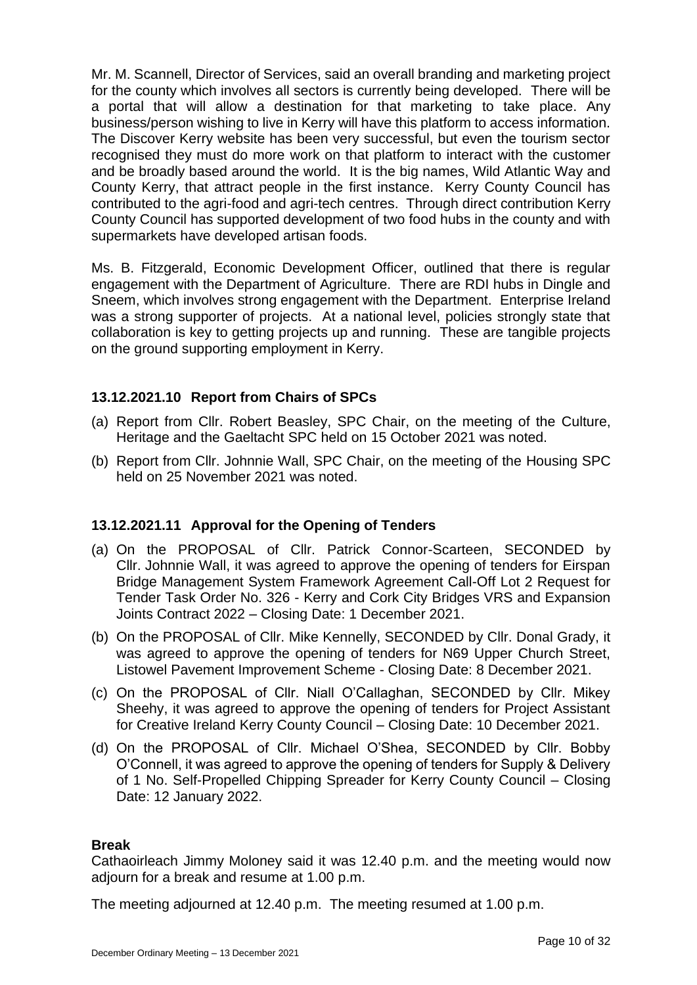Mr. M. Scannell, Director of Services, said an overall branding and marketing project for the county which involves all sectors is currently being developed. There will be a portal that will allow a destination for that marketing to take place. Any business/person wishing to live in Kerry will have this platform to access information. The Discover Kerry website has been very successful, but even the tourism sector recognised they must do more work on that platform to interact with the customer and be broadly based around the world. It is the big names, Wild Atlantic Way and County Kerry, that attract people in the first instance. Kerry County Council has contributed to the agri-food and agri-tech centres. Through direct contribution Kerry County Council has supported development of two food hubs in the county and with supermarkets have developed artisan foods.

Ms. B. Fitzgerald, Economic Development Officer, outlined that there is regular engagement with the Department of Agriculture. There are RDI hubs in Dingle and Sneem, which involves strong engagement with the Department. Enterprise Ireland was a strong supporter of projects. At a national level, policies strongly state that collaboration is key to getting projects up and running. These are tangible projects on the ground supporting employment in Kerry.

# **13.12.2021.10 Report from Chairs of SPCs**

- (a) Report from Cllr. Robert Beasley, SPC Chair, on the meeting of the Culture, Heritage and the Gaeltacht SPC held on 15 October 2021 was noted.
- (b) Report from Cllr. Johnnie Wall, SPC Chair, on the meeting of the Housing SPC held on 25 November 2021 was noted.

# **13.12.2021.11 Approval for the Opening of Tenders**

- (a) On the PROPOSAL of Cllr. Patrick Connor-Scarteen, SECONDED by Cllr. Johnnie Wall, it was agreed to approve the opening of tenders for Eirspan Bridge Management System Framework Agreement Call-Off Lot 2 Request for Tender Task Order No. 326 - Kerry and Cork City Bridges VRS and Expansion Joints Contract 2022 – Closing Date: 1 December 2021.
- (b) On the PROPOSAL of Cllr. Mike Kennelly, SECONDED by Cllr. Donal Grady, it was agreed to approve the opening of tenders for N69 Upper Church Street, Listowel Pavement Improvement Scheme - Closing Date: 8 December 2021.
- (c) On the PROPOSAL of Cllr. Niall O'Callaghan, SECONDED by Cllr. Mikey Sheehy, it was agreed to approve the opening of tenders for Project Assistant for Creative Ireland Kerry County Council – Closing Date: 10 December 2021.
- (d) On the PROPOSAL of Cllr. Michael O'Shea, SECONDED by Cllr. Bobby O'Connell, it was agreed to approve the opening of tenders for Supply & Delivery of 1 No. Self-Propelled Chipping Spreader for Kerry County Council – Closing Date: 12 January 2022.

### **Break**

Cathaoirleach Jimmy Moloney said it was 12.40 p.m. and the meeting would now adjourn for a break and resume at 1.00 p.m.

The meeting adjourned at 12.40 p.m. The meeting resumed at 1.00 p.m.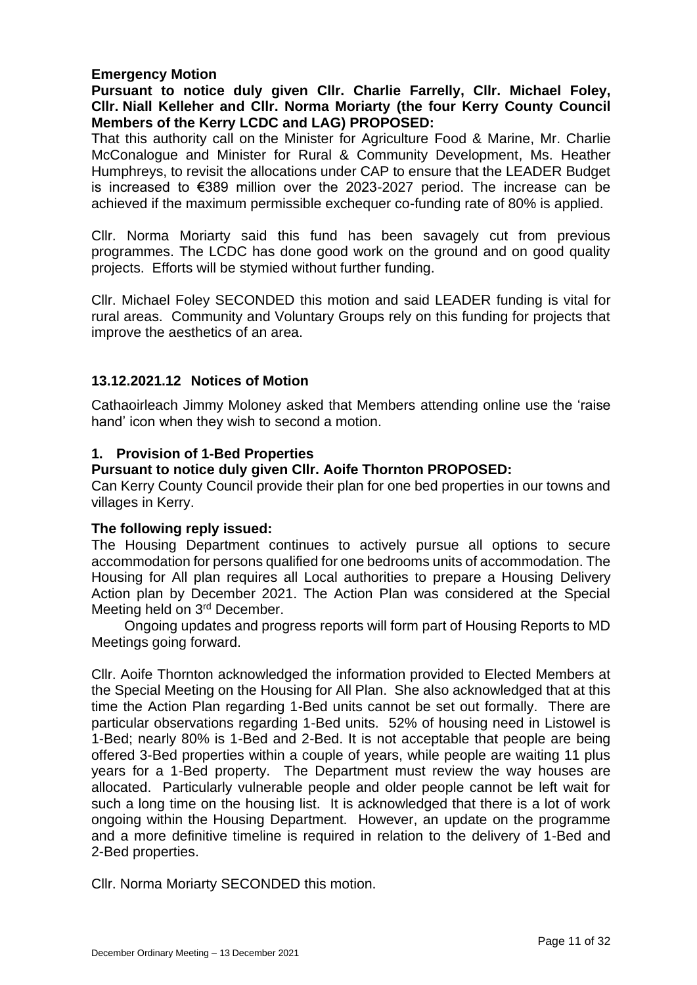## **Emergency Motion**

## **Pursuant to notice duly given Cllr. Charlie Farrelly, Cllr. Michael Foley, Cllr. Niall Kelleher and Cllr. Norma Moriarty (the four Kerry County Council Members of the Kerry LCDC and LAG) PROPOSED:**

That this authority call on the Minister for Agriculture Food & Marine, Mr. Charlie McConalogue and Minister for Rural & Community Development, Ms. Heather Humphreys, to revisit the allocations under CAP to ensure that the LEADER Budget is increased to €389 million over the 2023-2027 period. The increase can be achieved if the maximum permissible exchequer co-funding rate of 80% is applied.

Cllr. Norma Moriarty said this fund has been savagely cut from previous programmes. The LCDC has done good work on the ground and on good quality projects. Efforts will be stymied without further funding.

Cllr. Michael Foley SECONDED this motion and said LEADER funding is vital for rural areas. Community and Voluntary Groups rely on this funding for projects that improve the aesthetics of an area.

## **13.12.2021.12 Notices of Motion**

Cathaoirleach Jimmy Moloney asked that Members attending online use the 'raise hand' icon when they wish to second a motion.

### **1. Provision of 1-Bed Properties**

# **Pursuant to notice duly given Cllr. Aoife Thornton PROPOSED:**

Can Kerry County Council provide their plan for one bed properties in our towns and villages in Kerry.

### **The following reply issued:**

The Housing Department continues to actively pursue all options to secure accommodation for persons qualified for one bedrooms units of accommodation. The Housing for All plan requires all Local authorities to prepare a Housing Delivery Action plan by December 2021. The Action Plan was considered at the Special Meeting held on 3rd December.

Ongoing updates and progress reports will form part of Housing Reports to MD Meetings going forward.

Cllr. Aoife Thornton acknowledged the information provided to Elected Members at the Special Meeting on the Housing for All Plan. She also acknowledged that at this time the Action Plan regarding 1-Bed units cannot be set out formally. There are particular observations regarding 1-Bed units. 52% of housing need in Listowel is 1-Bed; nearly 80% is 1-Bed and 2-Bed. It is not acceptable that people are being offered 3-Bed properties within a couple of years, while people are waiting 11 plus years for a 1-Bed property. The Department must review the way houses are allocated. Particularly vulnerable people and older people cannot be left wait for such a long time on the housing list. It is acknowledged that there is a lot of work ongoing within the Housing Department. However, an update on the programme and a more definitive timeline is required in relation to the delivery of 1-Bed and 2-Bed properties.

Cllr. Norma Moriarty SECONDED this motion.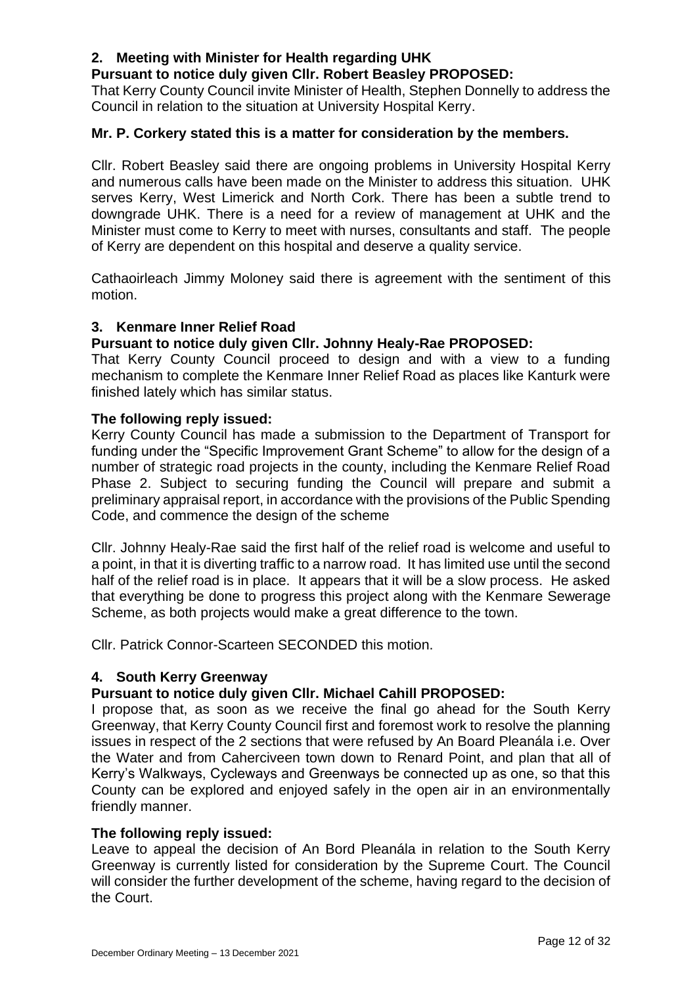# **2. Meeting with Minister for Health regarding UHK**

# **Pursuant to notice duly given Cllr. Robert Beasley PROPOSED:**

That Kerry County Council invite Minister of Health, Stephen Donnelly to address the Council in relation to the situation at University Hospital Kerry.

## **Mr. P. Corkery stated this is a matter for consideration by the members.**

Cllr. Robert Beasley said there are ongoing problems in University Hospital Kerry and numerous calls have been made on the Minister to address this situation. UHK serves Kerry, West Limerick and North Cork. There has been a subtle trend to downgrade UHK. There is a need for a review of management at UHK and the Minister must come to Kerry to meet with nurses, consultants and staff. The people of Kerry are dependent on this hospital and deserve a quality service.

Cathaoirleach Jimmy Moloney said there is agreement with the sentiment of this motion.

## **3. Kenmare Inner Relief Road**

## **Pursuant to notice duly given Cllr. Johnny Healy-Rae PROPOSED:**

That Kerry County Council proceed to design and with a view to a funding mechanism to complete the Kenmare Inner Relief Road as places like Kanturk were finished lately which has similar status.

### **The following reply issued:**

Kerry County Council has made a submission to the Department of Transport for funding under the "Specific Improvement Grant Scheme" to allow for the design of a number of strategic road projects in the county, including the Kenmare Relief Road Phase 2. Subject to securing funding the Council will prepare and submit a preliminary appraisal report, in accordance with the provisions of the Public Spending Code, and commence the design of the scheme

Cllr. Johnny Healy-Rae said the first half of the relief road is welcome and useful to a point, in that it is diverting traffic to a narrow road. It has limited use until the second half of the relief road is in place. It appears that it will be a slow process. He asked that everything be done to progress this project along with the Kenmare Sewerage Scheme, as both projects would make a great difference to the town.

Cllr. Patrick Connor-Scarteen SECONDED this motion.

### **4. South Kerry Greenway**

# **Pursuant to notice duly given Cllr. Michael Cahill PROPOSED:**

I propose that, as soon as we receive the final go ahead for the South Kerry Greenway, that Kerry County Council first and foremost work to resolve the planning issues in respect of the 2 sections that were refused by An Board Pleanála i.e. Over the Water and from Caherciveen town down to Renard Point, and plan that all of Kerry's Walkways, Cycleways and Greenways be connected up as one, so that this County can be explored and enjoyed safely in the open air in an environmentally friendly manner.

### **The following reply issued:**

Leave to appeal the decision of An Bord Pleanála in relation to the South Kerry Greenway is currently listed for consideration by the Supreme Court. The Council will consider the further development of the scheme, having regard to the decision of the Court.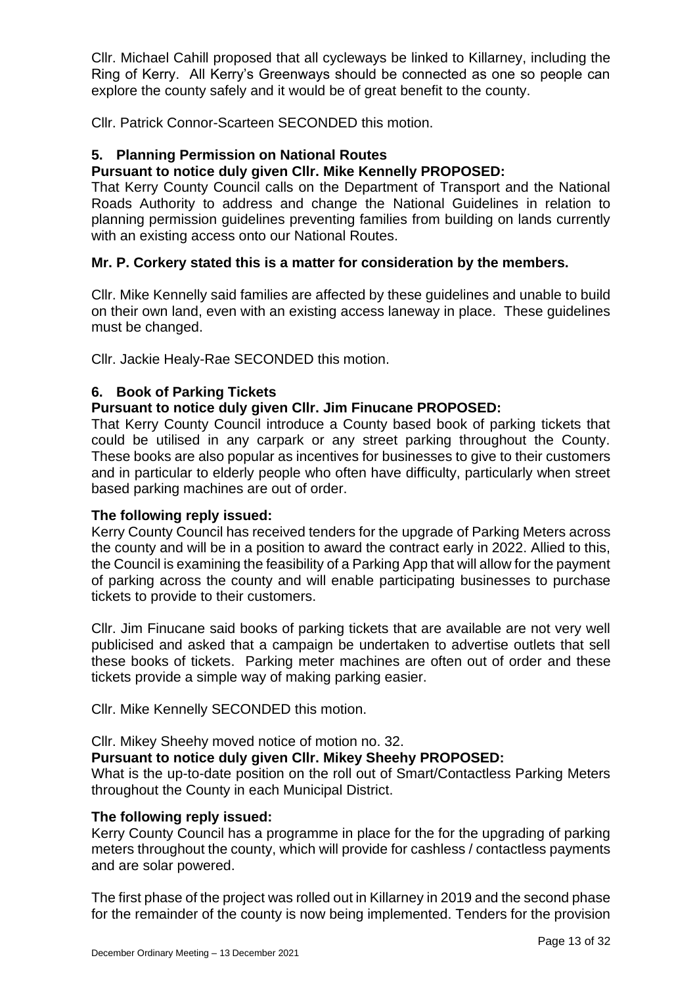Cllr. Michael Cahill proposed that all cycleways be linked to Killarney, including the Ring of Kerry. All Kerry's Greenways should be connected as one so people can explore the county safely and it would be of great benefit to the county.

Cllr. Patrick Connor-Scarteen SECONDED this motion.

## **5. Planning Permission on National Routes**

## **Pursuant to notice duly given Cllr. Mike Kennelly PROPOSED:**

That Kerry County Council calls on the Department of Transport and the National Roads Authority to address and change the National Guidelines in relation to planning permission guidelines preventing families from building on lands currently with an existing access onto our National Routes.

## **Mr. P. Corkery stated this is a matter for consideration by the members.**

Cllr. Mike Kennelly said families are affected by these guidelines and unable to build on their own land, even with an existing access laneway in place. These guidelines must be changed.

Cllr. Jackie Healy-Rae SECONDED this motion.

## **6. Book of Parking Tickets**

## **Pursuant to notice duly given Cllr. Jim Finucane PROPOSED:**

That Kerry County Council introduce a County based book of parking tickets that could be utilised in any carpark or any street parking throughout the County. These books are also popular as incentives for businesses to give to their customers and in particular to elderly people who often have difficulty, particularly when street based parking machines are out of order.

### **The following reply issued:**

Kerry County Council has received tenders for the upgrade of Parking Meters across the county and will be in a position to award the contract early in 2022. Allied to this, the Council is examining the feasibility of a Parking App that will allow for the payment of parking across the county and will enable participating businesses to purchase tickets to provide to their customers.

Cllr. Jim Finucane said books of parking tickets that are available are not very well publicised and asked that a campaign be undertaken to advertise outlets that sell these books of tickets. Parking meter machines are often out of order and these tickets provide a simple way of making parking easier.

Cllr. Mike Kennelly SECONDED this motion.

Cllr. Mikey Sheehy moved notice of motion no. 32.

### **Pursuant to notice duly given Cllr. Mikey Sheehy PROPOSED:**

What is the up-to-date position on the roll out of Smart/Contactless Parking Meters throughout the County in each Municipal District.

### **The following reply issued:**

Kerry County Council has a programme in place for the for the upgrading of parking meters throughout the county, which will provide for cashless / contactless payments and are solar powered.

The first phase of the project was rolled out in Killarney in 2019 and the second phase for the remainder of the county is now being implemented. Tenders for the provision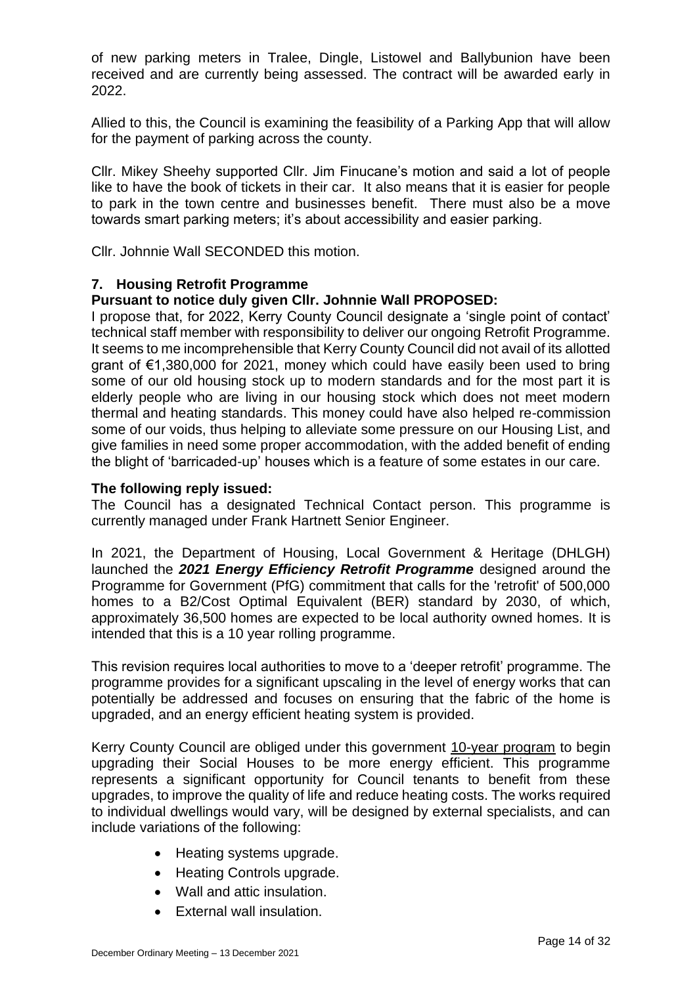of new parking meters in Tralee, Dingle, Listowel and Ballybunion have been received and are currently being assessed. The contract will be awarded early in 2022.

Allied to this, the Council is examining the feasibility of a Parking App that will allow for the payment of parking across the county.

Cllr. Mikey Sheehy supported Cllr. Jim Finucane's motion and said a lot of people like to have the book of tickets in their car. It also means that it is easier for people to park in the town centre and businesses benefit. There must also be a move towards smart parking meters; it's about accessibility and easier parking.

Cllr. Johnnie Wall SECONDED this motion.

# **7. Housing Retrofit Programme**

## **Pursuant to notice duly given Cllr. Johnnie Wall PROPOSED:**

I propose that, for 2022, Kerry County Council designate a 'single point of contact' technical staff member with responsibility to deliver our ongoing Retrofit Programme. It seems to me incomprehensible that Kerry County Council did not avail of its allotted grant of €1,380,000 for 2021, money which could have easily been used to bring some of our old housing stock up to modern standards and for the most part it is elderly people who are living in our housing stock which does not meet modern thermal and heating standards. This money could have also helped re-commission some of our voids, thus helping to alleviate some pressure on our Housing List, and give families in need some proper accommodation, with the added benefit of ending the blight of 'barricaded-up' houses which is a feature of some estates in our care.

### **The following reply issued:**

The Council has a designated Technical Contact person. This programme is currently managed under Frank Hartnett Senior Engineer.

In 2021, the Department of Housing, Local Government & Heritage (DHLGH) launched the *2021 Energy Efficiency Retrofit Programme* designed around the Programme for Government (PfG) commitment that calls for the 'retrofit' of 500,000 homes to a B2/Cost Optimal Equivalent (BER) standard by 2030, of which, approximately 36,500 homes are expected to be local authority owned homes. It is intended that this is a 10 year rolling programme.

This revision requires local authorities to move to a 'deeper retrofit' programme. The programme provides for a significant upscaling in the level of energy works that can potentially be addressed and focuses on ensuring that the fabric of the home is upgraded, and an energy efficient heating system is provided.

Kerry County Council are obliged under this government 10-year program to begin upgrading their Social Houses to be more energy efficient. This programme represents a significant opportunity for Council tenants to benefit from these upgrades, to improve the quality of life and reduce heating costs. The works required to individual dwellings would vary, will be designed by external specialists, and can include variations of the following:

- Heating systems upgrade.
- Heating Controls upgrade.
- Wall and attic insulation.
- External wall insulation.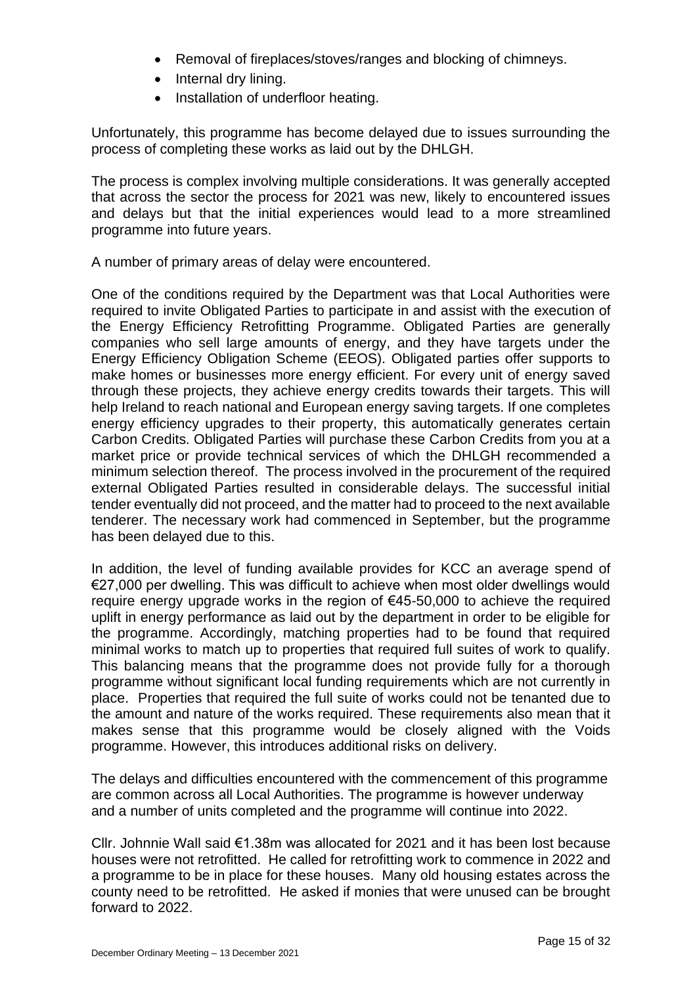- Removal of fireplaces/stoves/ranges and blocking of chimneys.
- Internal dry lining.
- Installation of underfloor heating.

Unfortunately, this programme has become delayed due to issues surrounding the process of completing these works as laid out by the DHLGH.

The process is complex involving multiple considerations. It was generally accepted that across the sector the process for 2021 was new, likely to encountered issues and delays but that the initial experiences would lead to a more streamlined programme into future years.

A number of primary areas of delay were encountered.

One of the conditions required by the Department was that Local Authorities were required to invite Obligated Parties to participate in and assist with the execution of the Energy Efficiency Retrofitting Programme. Obligated Parties are generally companies who sell large amounts of energy, and they have targets under the Energy Efficiency Obligation Scheme (EEOS). Obligated parties offer supports to make homes or businesses more energy efficient. For every unit of energy saved through these projects, they achieve energy credits towards their targets. This will help Ireland to reach national and European energy saving targets. If one completes energy efficiency upgrades to their property, this automatically generates certain Carbon Credits. Obligated Parties will purchase these Carbon Credits from you at a market price or provide technical services of which the DHLGH recommended a minimum selection thereof. The process involved in the procurement of the required external Obligated Parties resulted in considerable delays. The successful initial tender eventually did not proceed, and the matter had to proceed to the next available tenderer. The necessary work had commenced in September, but the programme has been delayed due to this.

In addition, the level of funding available provides for KCC an average spend of €27,000 per dwelling. This was difficult to achieve when most older dwellings would require energy upgrade works in the region of €45-50,000 to achieve the required uplift in energy performance as laid out by the department in order to be eligible for the programme. Accordingly, matching properties had to be found that required minimal works to match up to properties that required full suites of work to qualify. This balancing means that the programme does not provide fully for a thorough programme without significant local funding requirements which are not currently in place. Properties that required the full suite of works could not be tenanted due to the amount and nature of the works required. These requirements also mean that it makes sense that this programme would be closely aligned with the Voids programme. However, this introduces additional risks on delivery.

The delays and difficulties encountered with the commencement of this programme are common across all Local Authorities. The programme is however underway and a number of units completed and the programme will continue into 2022.

Cllr. Johnnie Wall said €1.38m was allocated for 2021 and it has been lost because houses were not retrofitted. He called for retrofitting work to commence in 2022 and a programme to be in place for these houses. Many old housing estates across the county need to be retrofitted. He asked if monies that were unused can be brought forward to 2022.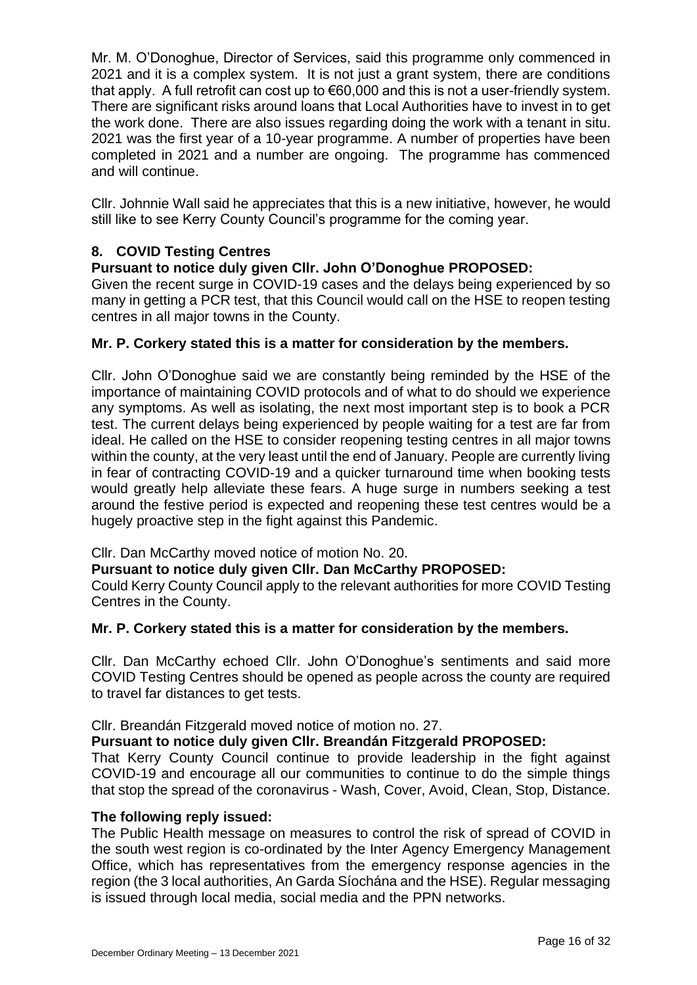Mr. M. O'Donoghue, Director of Services, said this programme only commenced in 2021 and it is a complex system. It is not just a grant system, there are conditions that apply. A full retrofit can cost up to €60,000 and this is not a user-friendly system. There are significant risks around loans that Local Authorities have to invest in to get the work done. There are also issues regarding doing the work with a tenant in situ. 2021 was the first year of a 10-year programme. A number of properties have been completed in 2021 and a number are ongoing. The programme has commenced and will continue.

Cllr. Johnnie Wall said he appreciates that this is a new initiative, however, he would still like to see Kerry County Council's programme for the coming year.

# **8. COVID Testing Centres**

# **Pursuant to notice duly given Cllr. John O'Donoghue PROPOSED:**

Given the recent surge in COVID-19 cases and the delays being experienced by so many in getting a PCR test, that this Council would call on the HSE to reopen testing centres in all major towns in the County.

# **Mr. P. Corkery stated this is a matter for consideration by the members.**

Cllr. John O'Donoghue said we are constantly being reminded by the HSE of the importance of maintaining COVID protocols and of what to do should we experience any symptoms. As well as isolating, the next most important step is to book a PCR test. The current delays being experienced by people waiting for a test are far from ideal. He called on the HSE to consider reopening testing centres in all major towns within the county, at the very least until the end of January. People are currently living in fear of contracting COVID-19 and a quicker turnaround time when booking tests would greatly help alleviate these fears. A huge surge in numbers seeking a test around the festive period is expected and reopening these test centres would be a hugely proactive step in the fight against this Pandemic.

# Cllr. Dan McCarthy moved notice of motion No. 20.

# **Pursuant to notice duly given Cllr. Dan McCarthy PROPOSED:**

Could Kerry County Council apply to the relevant authorities for more COVID Testing Centres in the County.

# **Mr. P. Corkery stated this is a matter for consideration by the members.**

Cllr. Dan McCarthy echoed Cllr. John O'Donoghue's sentiments and said more COVID Testing Centres should be opened as people across the county are required to travel far distances to get tests.

# Cllr. Breandán Fitzgerald moved notice of motion no. 27.

# **Pursuant to notice duly given Cllr. Breandán Fitzgerald PROPOSED:**

That Kerry County Council continue to provide leadership in the fight against COVID-19 and encourage all our communities to continue to do the simple things that stop the spread of the coronavirus - Wash, Cover, Avoid, Clean, Stop, Distance.

### **The following reply issued:**

The Public Health message on measures to control the risk of spread of COVID in the south west region is co-ordinated by the Inter Agency Emergency Management Office, which has representatives from the emergency response agencies in the region (the 3 local authorities, An Garda Síochána and the HSE). Regular messaging is issued through local media, social media and the PPN networks.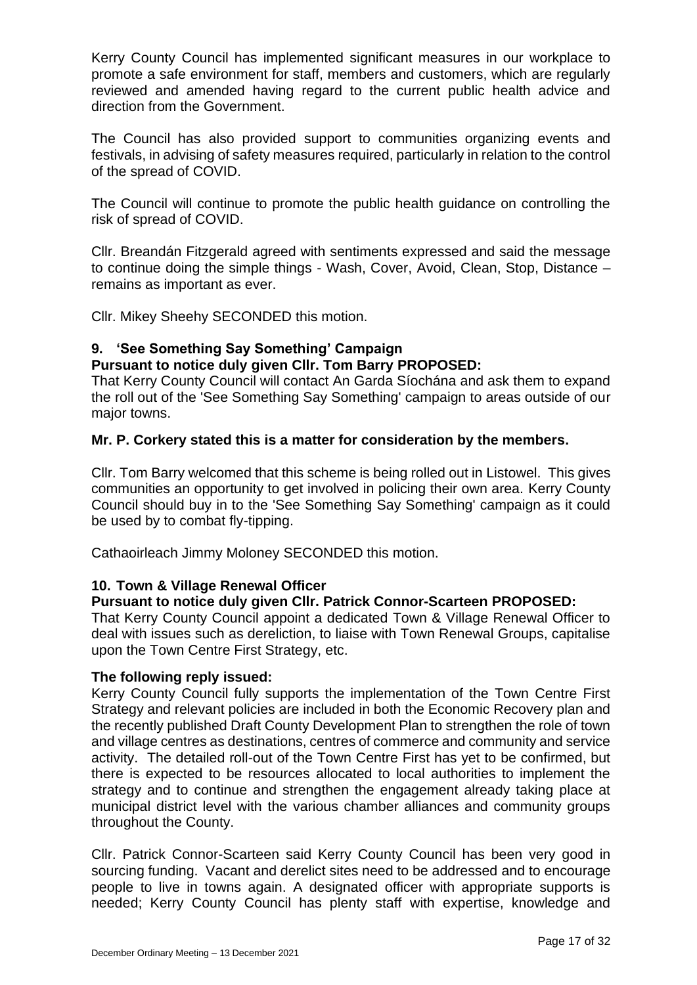Kerry County Council has implemented significant measures in our workplace to promote a safe environment for staff, members and customers, which are regularly reviewed and amended having regard to the current public health advice and direction from the Government.

The Council has also provided support to communities organizing events and festivals, in advising of safety measures required, particularly in relation to the control of the spread of COVID.

The Council will continue to promote the public health guidance on controlling the risk of spread of COVID.

Cllr. Breandán Fitzgerald agreed with sentiments expressed and said the message to continue doing the simple things - Wash, Cover, Avoid, Clean, Stop, Distance – remains as important as ever.

Cllr. Mikey Sheehy SECONDED this motion.

# **9. 'See Something Say Something' Campaign**

## **Pursuant to notice duly given Cllr. Tom Barry PROPOSED:**

That Kerry County Council will contact An Garda Síochána and ask them to expand the roll out of the 'See Something Say Something' campaign to areas outside of our major towns.

## **Mr. P. Corkery stated this is a matter for consideration by the members.**

Cllr. Tom Barry welcomed that this scheme is being rolled out in Listowel. This gives communities an opportunity to get involved in policing their own area. Kerry County Council should buy in to the 'See Something Say Something' campaign as it could be used by to combat fly-tipping.

Cathaoirleach Jimmy Moloney SECONDED this motion.

# **10. Town & Village Renewal Officer**

### **Pursuant to notice duly given Cllr. Patrick Connor-Scarteen PROPOSED:**

That Kerry County Council appoint a dedicated Town & Village Renewal Officer to deal with issues such as dereliction, to liaise with Town Renewal Groups, capitalise upon the Town Centre First Strategy, etc.

### **The following reply issued:**

Kerry County Council fully supports the implementation of the Town Centre First Strategy and relevant policies are included in both the Economic Recovery plan and the recently published Draft County Development Plan to strengthen the role of town and village centres as destinations, centres of commerce and community and service activity. The detailed roll-out of the Town Centre First has yet to be confirmed, but there is expected to be resources allocated to local authorities to implement the strategy and to continue and strengthen the engagement already taking place at municipal district level with the various chamber alliances and community groups throughout the County.

Cllr. Patrick Connor-Scarteen said Kerry County Council has been very good in sourcing funding. Vacant and derelict sites need to be addressed and to encourage people to live in towns again. A designated officer with appropriate supports is needed; Kerry County Council has plenty staff with expertise, knowledge and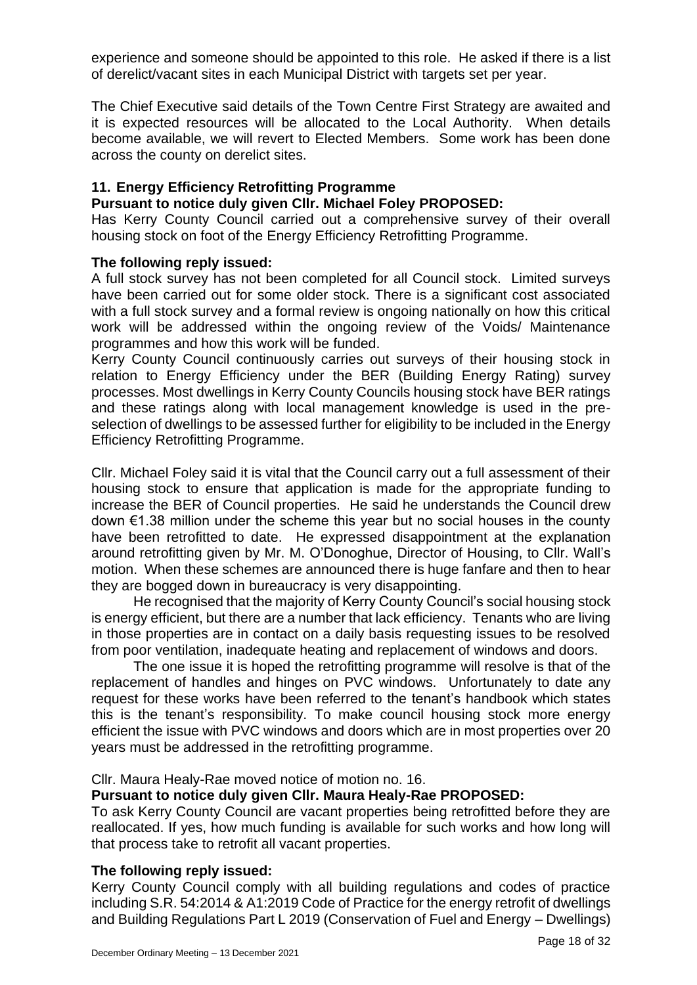experience and someone should be appointed to this role. He asked if there is a list of derelict/vacant sites in each Municipal District with targets set per year.

The Chief Executive said details of the Town Centre First Strategy are awaited and it is expected resources will be allocated to the Local Authority. When details become available, we will revert to Elected Members. Some work has been done across the county on derelict sites.

## **11. Energy Efficiency Retrofitting Programme**

### **Pursuant to notice duly given Cllr. Michael Foley PROPOSED:**

Has Kerry County Council carried out a comprehensive survey of their overall housing stock on foot of the Energy Efficiency Retrofitting Programme.

### **The following reply issued:**

A full stock survey has not been completed for all Council stock. Limited surveys have been carried out for some older stock. There is a significant cost associated with a full stock survey and a formal review is ongoing nationally on how this critical work will be addressed within the ongoing review of the Voids/ Maintenance programmes and how this work will be funded.

Kerry County Council continuously carries out surveys of their housing stock in relation to Energy Efficiency under the BER (Building Energy Rating) survey processes. Most dwellings in Kerry County Councils housing stock have BER ratings and these ratings along with local management knowledge is used in the preselection of dwellings to be assessed further for eligibility to be included in the Energy Efficiency Retrofitting Programme.

Cllr. Michael Foley said it is vital that the Council carry out a full assessment of their housing stock to ensure that application is made for the appropriate funding to increase the BER of Council properties. He said he understands the Council drew down €1.38 million under the scheme this year but no social houses in the county have been retrofitted to date. He expressed disappointment at the explanation around retrofitting given by Mr. M. O'Donoghue, Director of Housing, to Cllr. Wall's motion. When these schemes are announced there is huge fanfare and then to hear they are bogged down in bureaucracy is very disappointing.

He recognised that the majority of Kerry County Council's social housing stock is energy efficient, but there are a number that lack efficiency. Tenants who are living in those properties are in contact on a daily basis requesting issues to be resolved from poor ventilation, inadequate heating and replacement of windows and doors.

The one issue it is hoped the retrofitting programme will resolve is that of the replacement of handles and hinges on PVC windows. Unfortunately to date any request for these works have been referred to the tenant's handbook which states this is the tenant's responsibility. To make council housing stock more energy efficient the issue with PVC windows and doors which are in most properties over 20 years must be addressed in the retrofitting programme.

Cllr. Maura Healy-Rae moved notice of motion no. 16.

## **Pursuant to notice duly given Cllr. Maura Healy-Rae PROPOSED:**

To ask Kerry County Council are vacant properties being retrofitted before they are reallocated. If yes, how much funding is available for such works and how long will that process take to retrofit all vacant properties.

### **The following reply issued:**

Kerry County Council comply with all building regulations and codes of practice including S.R. 54:2014 & A1:2019 Code of Practice for the energy retrofit of dwellings and Building Regulations Part L 2019 (Conservation of Fuel and Energy – Dwellings)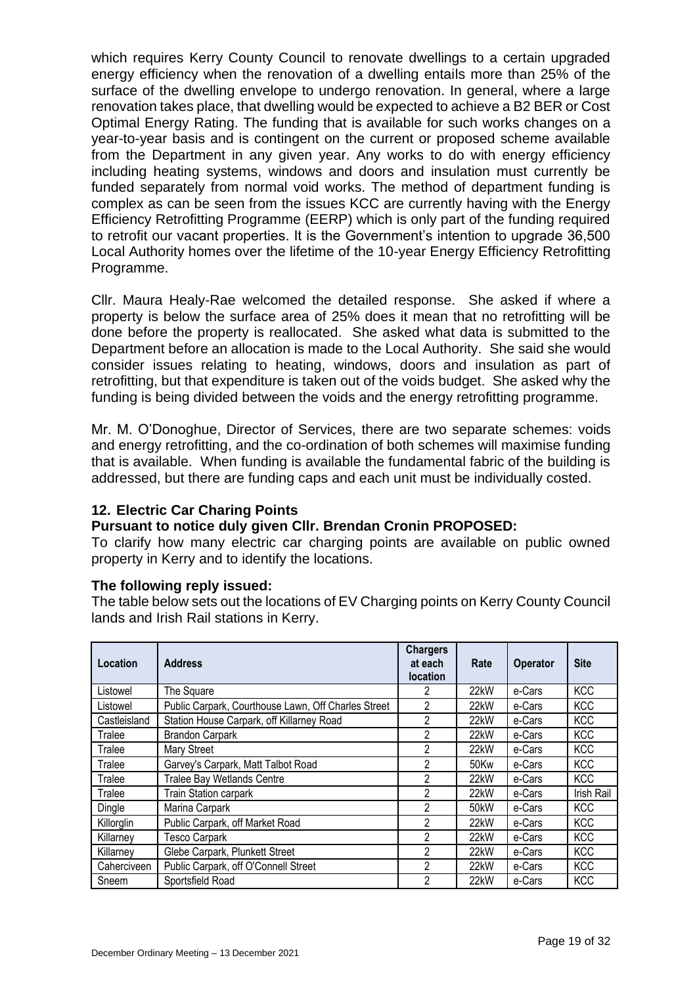which requires Kerry County Council to renovate dwellings to a certain upgraded energy efficiency when the renovation of a dwelling entails more than 25% of the surface of the dwelling envelope to undergo renovation. In general, where a large renovation takes place, that dwelling would be expected to achieve a B2 BER or Cost Optimal Energy Rating. The funding that is available for such works changes on a year-to-year basis and is contingent on the current or proposed scheme available from the Department in any given year. Any works to do with energy efficiency including heating systems, windows and doors and insulation must currently be funded separately from normal void works. The method of department funding is complex as can be seen from the issues KCC are currently having with the Energy Efficiency Retrofitting Programme (EERP) which is only part of the funding required to retrofit our vacant properties. It is the Government's intention to upgrade 36,500 Local Authority homes over the lifetime of the 10-year Energy Efficiency Retrofitting Programme.

Cllr. Maura Healy-Rae welcomed the detailed response. She asked if where a property is below the surface area of 25% does it mean that no retrofitting will be done before the property is reallocated. She asked what data is submitted to the Department before an allocation is made to the Local Authority. She said she would consider issues relating to heating, windows, doors and insulation as part of retrofitting, but that expenditure is taken out of the voids budget. She asked why the funding is being divided between the voids and the energy retrofitting programme.

Mr. M. O'Donoghue, Director of Services, there are two separate schemes: voids and energy retrofitting, and the co-ordination of both schemes will maximise funding that is available. When funding is available the fundamental fabric of the building is addressed, but there are funding caps and each unit must be individually costed.

# **12. Electric Car Charing Points**

### **Pursuant to notice duly given Cllr. Brendan Cronin PROPOSED:**

To clarify how many electric car charging points are available on public owned property in Kerry and to identify the locations.

### **The following reply issued:**

The table below sets out the locations of EV Charging points on Kerry County Council lands and Irish Rail stations in Kerry.

| Location     | <b>Address</b>                                      | <b>Chargers</b><br>at each<br><b>location</b> | Rate | <b>Operator</b> | <b>Site</b>       |
|--------------|-----------------------------------------------------|-----------------------------------------------|------|-----------------|-------------------|
| Listowel     | The Square                                          | 2                                             | 22kW | e-Cars          | <b>KCC</b>        |
| Listowel     | Public Carpark, Courthouse Lawn, Off Charles Street | 2                                             | 22kW | e-Cars          | <b>KCC</b>        |
| Castleisland | Station House Carpark, off Killarney Road           | $\mathcal{P}$                                 | 22kW | e-Cars          | <b>KCC</b>        |
| Tralee       | <b>Brandon Carpark</b>                              | 2                                             | 22kW | e-Cars          | <b>KCC</b>        |
| Tralee       | Mary Street                                         | 2                                             | 22kW | e-Cars          | <b>KCC</b>        |
| Tralee       | Garvey's Carpark, Matt Talbot Road                  | 2                                             | 50Kw | e-Cars          | <b>KCC</b>        |
| Tralee       | <b>Tralee Bay Wetlands Centre</b>                   | 2                                             | 22kW | e-Cars          | <b>KCC</b>        |
| Tralee       | Train Station carpark                               | 2                                             | 22kW | e-Cars          | <b>Irish Rail</b> |
| Dingle       | Marina Carpark                                      | 2                                             | 50kW | e-Cars          | <b>KCC</b>        |
| Killorglin   | Public Carpark, off Market Road                     | $\mathcal{P}$                                 | 22kW | e-Cars          | <b>KCC</b>        |
| Killarney    | <b>Tesco Carpark</b>                                | 2                                             | 22kW | e-Cars          | <b>KCC</b>        |
| Killarney    | Glebe Carpark, Plunkett Street                      | 2                                             | 22kW | e-Cars          | <b>KCC</b>        |
| Caherciveen  | Public Carpark, off O'Connell Street                | 2                                             | 22kW | e-Cars          | <b>KCC</b>        |
| Sneem        | Sportsfield Road                                    | 2                                             | 22kW | e-Cars          | <b>KCC</b>        |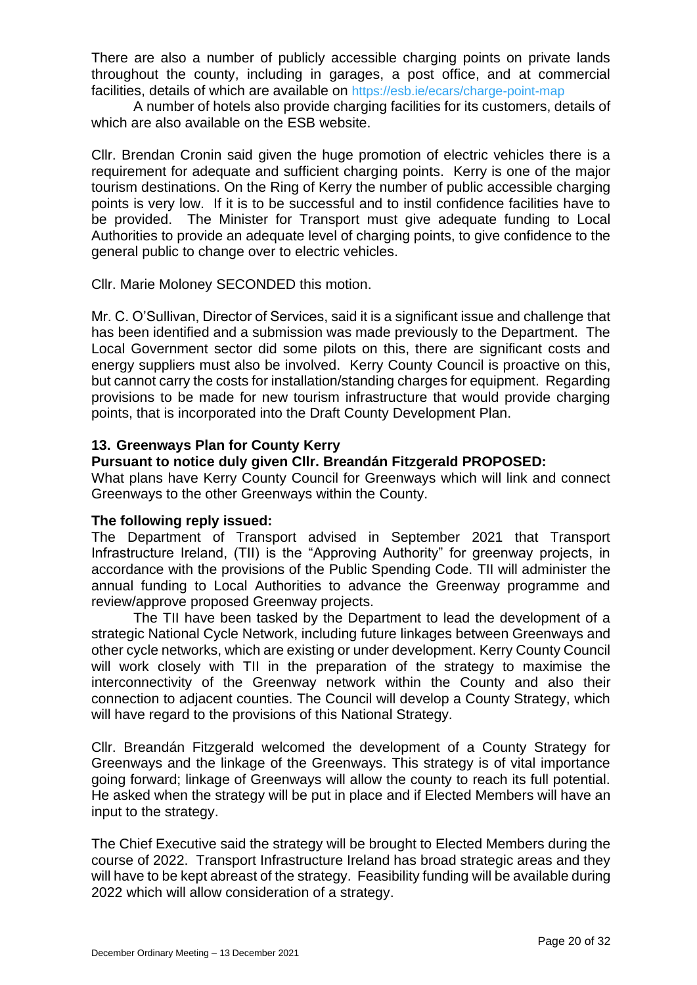There are also a number of publicly accessible charging points on private lands throughout the county, including in garages, a post office, and at commercial facilities, details of which are available on <https://esb.ie/ecars/charge-point-map>

A number of hotels also provide charging facilities for its customers, details of which are also available on the ESB website.

Cllr. Brendan Cronin said given the huge promotion of electric vehicles there is a requirement for adequate and sufficient charging points. Kerry is one of the major tourism destinations. On the Ring of Kerry the number of public accessible charging points is very low. If it is to be successful and to instil confidence facilities have to be provided. The Minister for Transport must give adequate funding to Local Authorities to provide an adequate level of charging points, to give confidence to the general public to change over to electric vehicles.

Cllr. Marie Moloney SECONDED this motion.

Mr. C. O'Sullivan, Director of Services, said it is a significant issue and challenge that has been identified and a submission was made previously to the Department. The Local Government sector did some pilots on this, there are significant costs and energy suppliers must also be involved. Kerry County Council is proactive on this, but cannot carry the costs for installation/standing charges for equipment. Regarding provisions to be made for new tourism infrastructure that would provide charging points, that is incorporated into the Draft County Development Plan.

## **13. Greenways Plan for County Kerry**

## **Pursuant to notice duly given Cllr. Breandán Fitzgerald PROPOSED:**

What plans have Kerry County Council for Greenways which will link and connect Greenways to the other Greenways within the County.

### **The following reply issued:**

The Department of Transport advised in September 2021 that Transport Infrastructure Ireland, (TII) is the "Approving Authority" for greenway projects, in accordance with the provisions of the Public Spending Code. TII will administer the annual funding to Local Authorities to advance the Greenway programme and review/approve proposed Greenway projects.

The TII have been tasked by the Department to lead the development of a strategic National Cycle Network, including future linkages between Greenways and other cycle networks, which are existing or under development. Kerry County Council will work closely with TII in the preparation of the strategy to maximise the interconnectivity of the Greenway network within the County and also their connection to adjacent counties. The Council will develop a County Strategy, which will have regard to the provisions of this National Strategy.

Cllr. Breandán Fitzgerald welcomed the development of a County Strategy for Greenways and the linkage of the Greenways. This strategy is of vital importance going forward; linkage of Greenways will allow the county to reach its full potential. He asked when the strategy will be put in place and if Elected Members will have an input to the strategy.

The Chief Executive said the strategy will be brought to Elected Members during the course of 2022. Transport Infrastructure Ireland has broad strategic areas and they will have to be kept abreast of the strategy. Feasibility funding will be available during 2022 which will allow consideration of a strategy.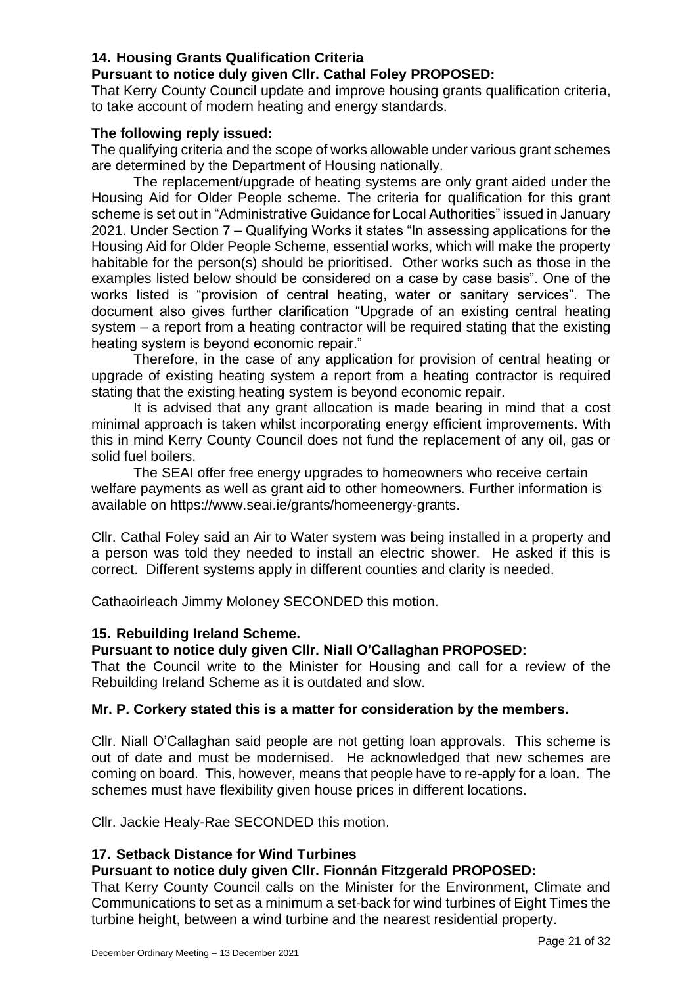# **14. Housing Grants Qualification Criteria**

# **Pursuant to notice duly given Cllr. Cathal Foley PROPOSED:**

That Kerry County Council update and improve housing grants qualification criteria, to take account of modern heating and energy standards.

# **The following reply issued:**

The qualifying criteria and the scope of works allowable under various grant schemes are determined by the Department of Housing nationally.

The replacement/upgrade of heating systems are only grant aided under the Housing Aid for Older People scheme. The criteria for qualification for this grant scheme is set out in "Administrative Guidance for Local Authorities" issued in January 2021. Under Section 7 – Qualifying Works it states "In assessing applications for the Housing Aid for Older People Scheme, essential works, which will make the property habitable for the person(s) should be prioritised. Other works such as those in the examples listed below should be considered on a case by case basis". One of the works listed is "provision of central heating, water or sanitary services". The document also gives further clarification "Upgrade of an existing central heating system – a report from a heating contractor will be required stating that the existing heating system is beyond economic repair."

Therefore, in the case of any application for provision of central heating or upgrade of existing heating system a report from a heating contractor is required stating that the existing heating system is beyond economic repair.

It is advised that any grant allocation is made bearing in mind that a cost minimal approach is taken whilst incorporating energy efficient improvements. With this in mind Kerry County Council does not fund the replacement of any oil, gas or solid fuel boilers.

The SEAI offer free energy upgrades to homeowners who receive certain welfare payments as well as grant aid to other homeowners. Further information is available on https://www.seai.ie/grants/homeenergy-grants.

Cllr. Cathal Foley said an Air to Water system was being installed in a property and a person was told they needed to install an electric shower. He asked if this is correct. Different systems apply in different counties and clarity is needed.

Cathaoirleach Jimmy Moloney SECONDED this motion.

# **15. Rebuilding Ireland Scheme.**

# **Pursuant to notice duly given Cllr. Niall O'Callaghan PROPOSED:**

That the Council write to the Minister for Housing and call for a review of the Rebuilding Ireland Scheme as it is outdated and slow.

### **Mr. P. Corkery stated this is a matter for consideration by the members.**

Cllr. Niall O'Callaghan said people are not getting loan approvals. This scheme is out of date and must be modernised. He acknowledged that new schemes are coming on board. This, however, means that people have to re-apply for a loan. The schemes must have flexibility given house prices in different locations.

Cllr. Jackie Healy-Rae SECONDED this motion.

### **17. Setback Distance for Wind Turbines**

### **Pursuant to notice duly given Cllr. Fionnán Fitzgerald PROPOSED:**

That Kerry County Council calls on the Minister for the Environment, Climate and Communications to set as a minimum a set-back for wind turbines of Eight Times the turbine height, between a wind turbine and the nearest residential property.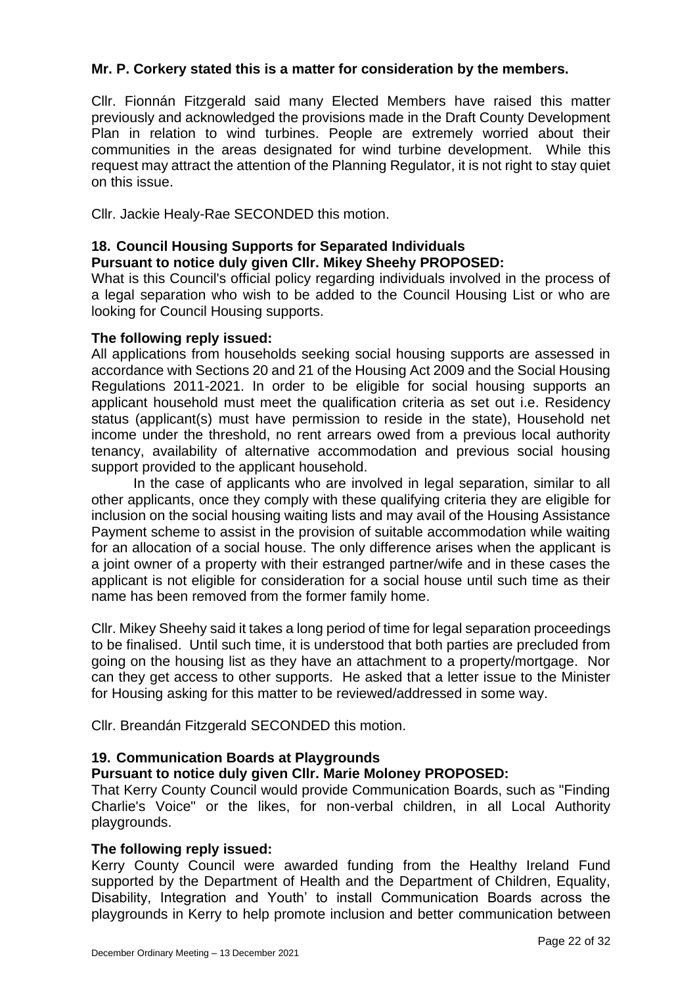# **Mr. P. Corkery stated this is a matter for consideration by the members.**

Cllr. Fionnán Fitzgerald said many Elected Members have raised this matter previously and acknowledged the provisions made in the Draft County Development Plan in relation to wind turbines. People are extremely worried about their communities in the areas designated for wind turbine development. While this request may attract the attention of the Planning Regulator, it is not right to stay quiet on this issue.

Cllr. Jackie Healy-Rae SECONDED this motion.

## **18. Council Housing Supports for Separated Individuals**

## **Pursuant to notice duly given Cllr. Mikey Sheehy PROPOSED:**

What is this Council's official policy regarding individuals involved in the process of a legal separation who wish to be added to the Council Housing List or who are looking for Council Housing supports.

### **The following reply issued:**

All applications from households seeking social housing supports are assessed in accordance with Sections 20 and 21 of the Housing Act 2009 and the Social Housing Regulations 2011-2021. In order to be eligible for social housing supports an applicant household must meet the qualification criteria as set out i.e. Residency status (applicant(s) must have permission to reside in the state), Household net income under the threshold, no rent arrears owed from a previous local authority tenancy, availability of alternative accommodation and previous social housing support provided to the applicant household.

In the case of applicants who are involved in legal separation, similar to all other applicants, once they comply with these qualifying criteria they are eligible for inclusion on the social housing waiting lists and may avail of the Housing Assistance Payment scheme to assist in the provision of suitable accommodation while waiting for an allocation of a social house. The only difference arises when the applicant is a joint owner of a property with their estranged partner/wife and in these cases the applicant is not eligible for consideration for a social house until such time as their name has been removed from the former family home.

Cllr. Mikey Sheehy said it takes a long period of time for legal separation proceedings to be finalised. Until such time, it is understood that both parties are precluded from going on the housing list as they have an attachment to a property/mortgage. Nor can they get access to other supports. He asked that a letter issue to the Minister for Housing asking for this matter to be reviewed/addressed in some way.

Cllr. Breandán Fitzgerald SECONDED this motion.

### **19. Communication Boards at Playgrounds**

### **Pursuant to notice duly given Cllr. Marie Moloney PROPOSED:**

That Kerry County Council would provide Communication Boards, such as "Finding Charlie's Voice" or the likes, for non-verbal children, in all Local Authority playgrounds.

### **The following reply issued:**

Kerry County Council were awarded funding from the Healthy Ireland Fund supported by the Department of Health and the Department of Children, Equality, Disability, Integration and Youth' to install Communication Boards across the playgrounds in Kerry to help promote inclusion and better communication between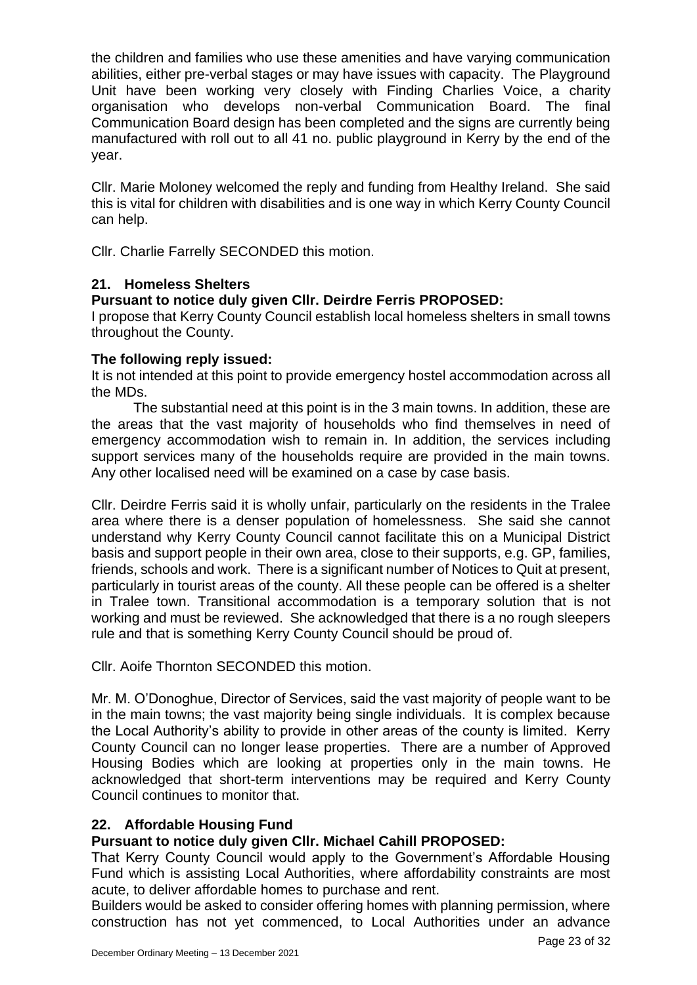the children and families who use these amenities and have varying communication abilities, either pre-verbal stages or may have issues with capacity. The Playground Unit have been working very closely with Finding Charlies Voice, a charity organisation who develops non-verbal Communication Board. The final Communication Board design has been completed and the signs are currently being manufactured with roll out to all 41 no. public playground in Kerry by the end of the year.

Cllr. Marie Moloney welcomed the reply and funding from Healthy Ireland. She said this is vital for children with disabilities and is one way in which Kerry County Council can help.

Cllr. Charlie Farrelly SECONDED this motion.

## **21. Homeless Shelters**

# **Pursuant to notice duly given Cllr. Deirdre Ferris PROPOSED:**

I propose that Kerry County Council establish local homeless shelters in small towns throughout the County.

## **The following reply issued:**

It is not intended at this point to provide emergency hostel accommodation across all the MDs.

The substantial need at this point is in the 3 main towns. In addition, these are the areas that the vast majority of households who find themselves in need of emergency accommodation wish to remain in. In addition, the services including support services many of the households require are provided in the main towns. Any other localised need will be examined on a case by case basis.

Cllr. Deirdre Ferris said it is wholly unfair, particularly on the residents in the Tralee area where there is a denser population of homelessness. She said she cannot understand why Kerry County Council cannot facilitate this on a Municipal District basis and support people in their own area, close to their supports, e.g. GP, families, friends, schools and work. There is a significant number of Notices to Quit at present, particularly in tourist areas of the county. All these people can be offered is a shelter in Tralee town. Transitional accommodation is a temporary solution that is not working and must be reviewed. She acknowledged that there is a no rough sleepers rule and that is something Kerry County Council should be proud of.

Cllr. Aoife Thornton SECONDED this motion.

Mr. M. O'Donoghue, Director of Services, said the vast majority of people want to be in the main towns; the vast majority being single individuals. It is complex because the Local Authority's ability to provide in other areas of the county is limited. Kerry County Council can no longer lease properties. There are a number of Approved Housing Bodies which are looking at properties only in the main towns. He acknowledged that short-term interventions may be required and Kerry County Council continues to monitor that.

# **22. Affordable Housing Fund**

# **Pursuant to notice duly given Cllr. Michael Cahill PROPOSED:**

That Kerry County Council would apply to the Government's Affordable Housing Fund which is assisting Local Authorities, where affordability constraints are most acute, to deliver affordable homes to purchase and rent.

Builders would be asked to consider offering homes with planning permission, where construction has not yet commenced, to Local Authorities under an advance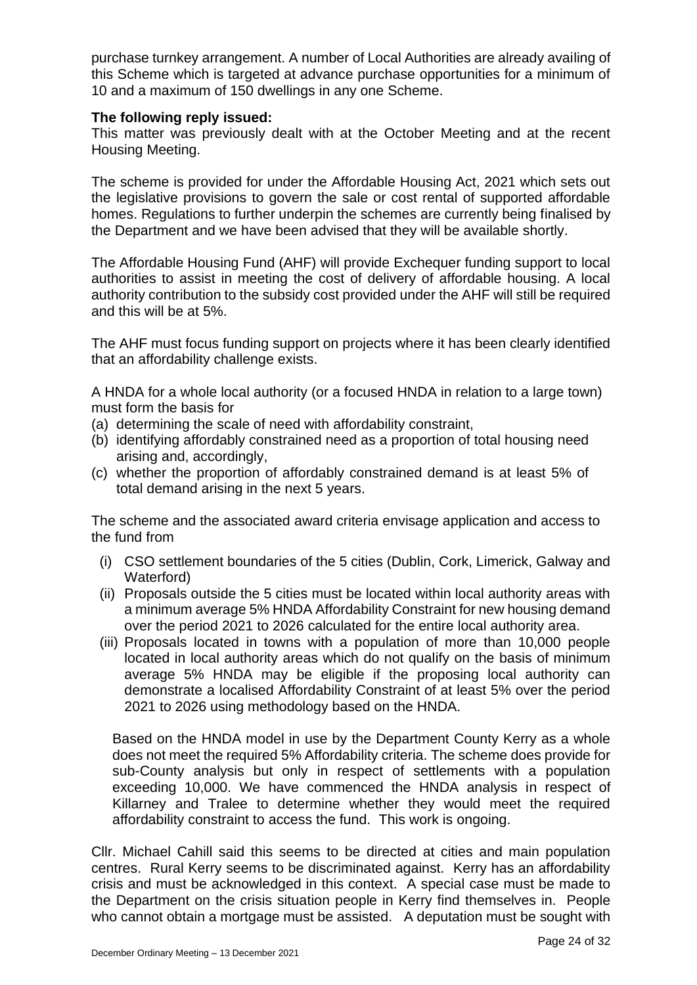purchase turnkey arrangement. A number of Local Authorities are already availing of this Scheme which is targeted at advance purchase opportunities for a minimum of 10 and a maximum of 150 dwellings in any one Scheme.

### **The following reply issued:**

This matter was previously dealt with at the October Meeting and at the recent Housing Meeting.

The scheme is provided for under the Affordable Housing Act, 2021 which sets out the legislative provisions to govern the sale or cost rental of supported affordable homes. Regulations to further underpin the schemes are currently being finalised by the Department and we have been advised that they will be available shortly.

The Affordable Housing Fund (AHF) will provide Exchequer funding support to local authorities to assist in meeting the cost of delivery of affordable housing. A local authority contribution to the subsidy cost provided under the AHF will still be required and this will be at 5%.

The AHF must focus funding support on projects where it has been clearly identified that an affordability challenge exists.

A HNDA for a whole local authority (or a focused HNDA in relation to a large town) must form the basis for

- (a) determining the scale of need with affordability constraint,
- (b) identifying affordably constrained need as a proportion of total housing need arising and, accordingly,
- (c) whether the proportion of affordably constrained demand is at least 5% of total demand arising in the next 5 years.

The scheme and the associated award criteria envisage application and access to the fund from

- (i) CSO settlement boundaries of the 5 cities (Dublin, Cork, Limerick, Galway and Waterford)
- (ii) Proposals outside the 5 cities must be located within local authority areas with a minimum average 5% HNDA Affordability Constraint for new housing demand over the period 2021 to 2026 calculated for the entire local authority area.
- (iii) Proposals located in towns with a population of more than 10,000 people located in local authority areas which do not qualify on the basis of minimum average 5% HNDA may be eligible if the proposing local authority can demonstrate a localised Affordability Constraint of at least 5% over the period 2021 to 2026 using methodology based on the HNDA.

Based on the HNDA model in use by the Department County Kerry as a whole does not meet the required 5% Affordability criteria. The scheme does provide for sub-County analysis but only in respect of settlements with a population exceeding 10,000. We have commenced the HNDA analysis in respect of Killarney and Tralee to determine whether they would meet the required affordability constraint to access the fund. This work is ongoing.

Cllr. Michael Cahill said this seems to be directed at cities and main population centres. Rural Kerry seems to be discriminated against. Kerry has an affordability crisis and must be acknowledged in this context. A special case must be made to the Department on the crisis situation people in Kerry find themselves in. People who cannot obtain a mortgage must be assisted. A deputation must be sought with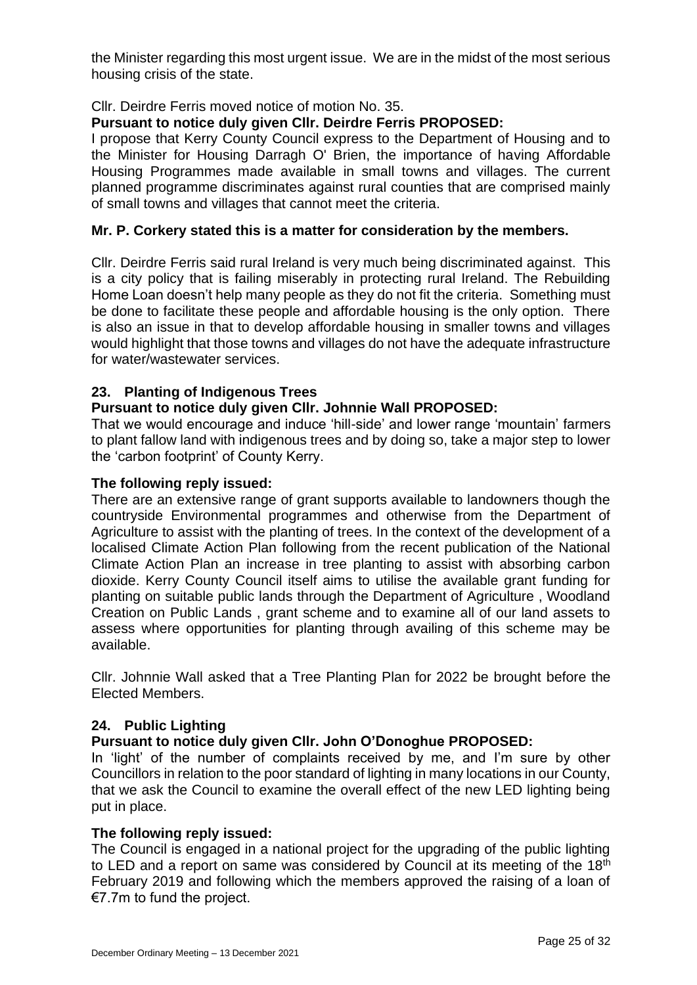the Minister regarding this most urgent issue. We are in the midst of the most serious housing crisis of the state.

# Cllr. Deirdre Ferris moved notice of motion No. 35.

# **Pursuant to notice duly given Cllr. Deirdre Ferris PROPOSED:**

I propose that Kerry County Council express to the Department of Housing and to the Minister for Housing Darragh O' Brien, the importance of having Affordable Housing Programmes made available in small towns and villages. The current planned programme discriminates against rural counties that are comprised mainly of small towns and villages that cannot meet the criteria.

## **Mr. P. Corkery stated this is a matter for consideration by the members.**

Cllr. Deirdre Ferris said rural Ireland is very much being discriminated against. This is a city policy that is failing miserably in protecting rural Ireland. The Rebuilding Home Loan doesn't help many people as they do not fit the criteria. Something must be done to facilitate these people and affordable housing is the only option. There is also an issue in that to develop affordable housing in smaller towns and villages would highlight that those towns and villages do not have the adequate infrastructure for water/wastewater services.

# **23. Planting of Indigenous Trees**

## **Pursuant to notice duly given Cllr. Johnnie Wall PROPOSED:**

That we would encourage and induce 'hill-side' and lower range 'mountain' farmers to plant fallow land with indigenous trees and by doing so, take a major step to lower the 'carbon footprint' of County Kerry.

### **The following reply issued:**

There are an extensive range of grant supports available to landowners though the countryside Environmental programmes and otherwise from the Department of Agriculture to assist with the planting of trees. In the context of the development of a localised Climate Action Plan following from the recent publication of the National Climate Action Plan an increase in tree planting to assist with absorbing carbon dioxide. Kerry County Council itself aims to utilise the available grant funding for planting on suitable public lands through the Department of Agriculture , Woodland Creation on Public Lands , grant scheme and to examine all of our land assets to assess where opportunities for planting through availing of this scheme may be available.

Cllr. Johnnie Wall asked that a Tree Planting Plan for 2022 be brought before the Elected Members.

### **24. Public Lighting**

# **Pursuant to notice duly given Cllr. John O'Donoghue PROPOSED:**

In 'light' of the number of complaints received by me, and I'm sure by other Councillors in relation to the poor standard of lighting in many locations in our County, that we ask the Council to examine the overall effect of the new LED lighting being put in place.

### **The following reply issued:**

The Council is engaged in a national project for the upgrading of the public lighting to LED and a report on same was considered by Council at its meeting of the 18<sup>th</sup> February 2019 and following which the members approved the raising of a loan of €7.7m to fund the project.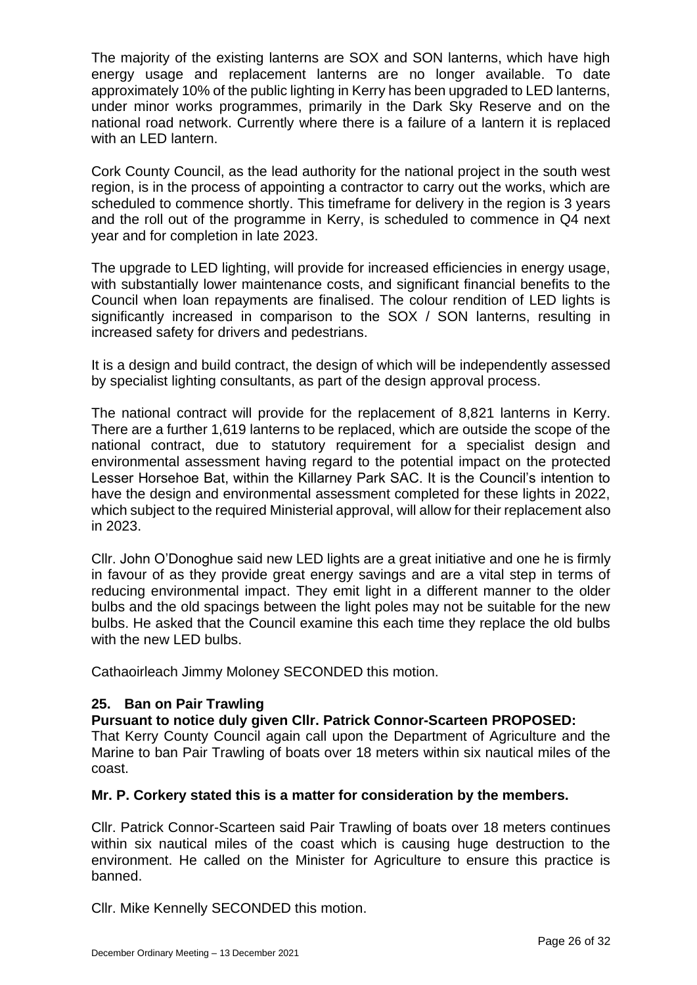The majority of the existing lanterns are SOX and SON lanterns, which have high energy usage and replacement lanterns are no longer available. To date approximately 10% of the public lighting in Kerry has been upgraded to LED lanterns, under minor works programmes, primarily in the Dark Sky Reserve and on the national road network. Currently where there is a failure of a lantern it is replaced with an LED lantern.

Cork County Council, as the lead authority for the national project in the south west region, is in the process of appointing a contractor to carry out the works, which are scheduled to commence shortly. This timeframe for delivery in the region is 3 years and the roll out of the programme in Kerry, is scheduled to commence in Q4 next year and for completion in late 2023.

The upgrade to LED lighting, will provide for increased efficiencies in energy usage, with substantially lower maintenance costs, and significant financial benefits to the Council when loan repayments are finalised. The colour rendition of LED lights is significantly increased in comparison to the SOX / SON lanterns, resulting in increased safety for drivers and pedestrians.

It is a design and build contract, the design of which will be independently assessed by specialist lighting consultants, as part of the design approval process.

The national contract will provide for the replacement of 8,821 lanterns in Kerry. There are a further 1,619 lanterns to be replaced, which are outside the scope of the national contract, due to statutory requirement for a specialist design and environmental assessment having regard to the potential impact on the protected Lesser Horsehoe Bat, within the Killarney Park SAC. It is the Council's intention to have the design and environmental assessment completed for these lights in 2022, which subject to the required Ministerial approval, will allow for their replacement also in 2023.

Cllr. John O'Donoghue said new LED lights are a great initiative and one he is firmly in favour of as they provide great energy savings and are a vital step in terms of reducing environmental impact. They emit light in a different manner to the older bulbs and the old spacings between the light poles may not be suitable for the new bulbs. He asked that the Council examine this each time they replace the old bulbs with the new LED bulbs.

Cathaoirleach Jimmy Moloney SECONDED this motion.

# **25. Ban on Pair Trawling**

### **Pursuant to notice duly given Cllr. Patrick Connor-Scarteen PROPOSED:**

That Kerry County Council again call upon the Department of Agriculture and the Marine to ban Pair Trawling of boats over 18 meters within six nautical miles of the coast.

# **Mr. P. Corkery stated this is a matter for consideration by the members.**

Cllr. Patrick Connor-Scarteen said Pair Trawling of boats over 18 meters continues within six nautical miles of the coast which is causing huge destruction to the environment. He called on the Minister for Agriculture to ensure this practice is banned.

Cllr. Mike Kennelly SECONDED this motion.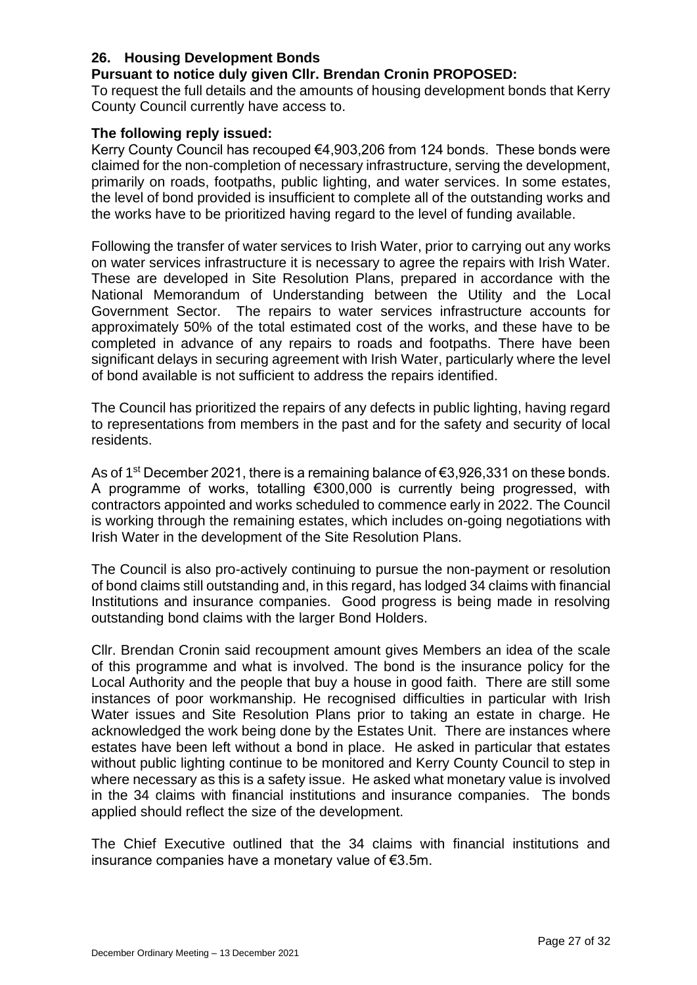# **26. Housing Development Bonds**

## **Pursuant to notice duly given Cllr. Brendan Cronin PROPOSED:**

To request the full details and the amounts of housing development bonds that Kerry County Council currently have access to.

## **The following reply issued:**

Kerry County Council has recouped €4,903,206 from 124 bonds. These bonds were claimed for the non-completion of necessary infrastructure, serving the development, primarily on roads, footpaths, public lighting, and water services. In some estates, the level of bond provided is insufficient to complete all of the outstanding works and the works have to be prioritized having regard to the level of funding available.

Following the transfer of water services to Irish Water, prior to carrying out any works on water services infrastructure it is necessary to agree the repairs with Irish Water. These are developed in Site Resolution Plans, prepared in accordance with the National Memorandum of Understanding between the Utility and the Local Government Sector. The repairs to water services infrastructure accounts for approximately 50% of the total estimated cost of the works, and these have to be completed in advance of any repairs to roads and footpaths. There have been significant delays in securing agreement with Irish Water, particularly where the level of bond available is not sufficient to address the repairs identified.

The Council has prioritized the repairs of any defects in public lighting, having regard to representations from members in the past and for the safety and security of local residents.

As of 1st December 2021, there is a remaining balance of €3,926,331 on these bonds. A programme of works, totalling €300,000 is currently being progressed, with contractors appointed and works scheduled to commence early in 2022. The Council is working through the remaining estates, which includes on-going negotiations with Irish Water in the development of the Site Resolution Plans.

The Council is also pro-actively continuing to pursue the non-payment or resolution of bond claims still outstanding and, in this regard, has lodged 34 claims with financial Institutions and insurance companies. Good progress is being made in resolving outstanding bond claims with the larger Bond Holders.

Cllr. Brendan Cronin said recoupment amount gives Members an idea of the scale of this programme and what is involved. The bond is the insurance policy for the Local Authority and the people that buy a house in good faith. There are still some instances of poor workmanship. He recognised difficulties in particular with Irish Water issues and Site Resolution Plans prior to taking an estate in charge. He acknowledged the work being done by the Estates Unit. There are instances where estates have been left without a bond in place. He asked in particular that estates without public lighting continue to be monitored and Kerry County Council to step in where necessary as this is a safety issue. He asked what monetary value is involved in the 34 claims with financial institutions and insurance companies. The bonds applied should reflect the size of the development.

The Chief Executive outlined that the 34 claims with financial institutions and insurance companies have a monetary value of €3.5m.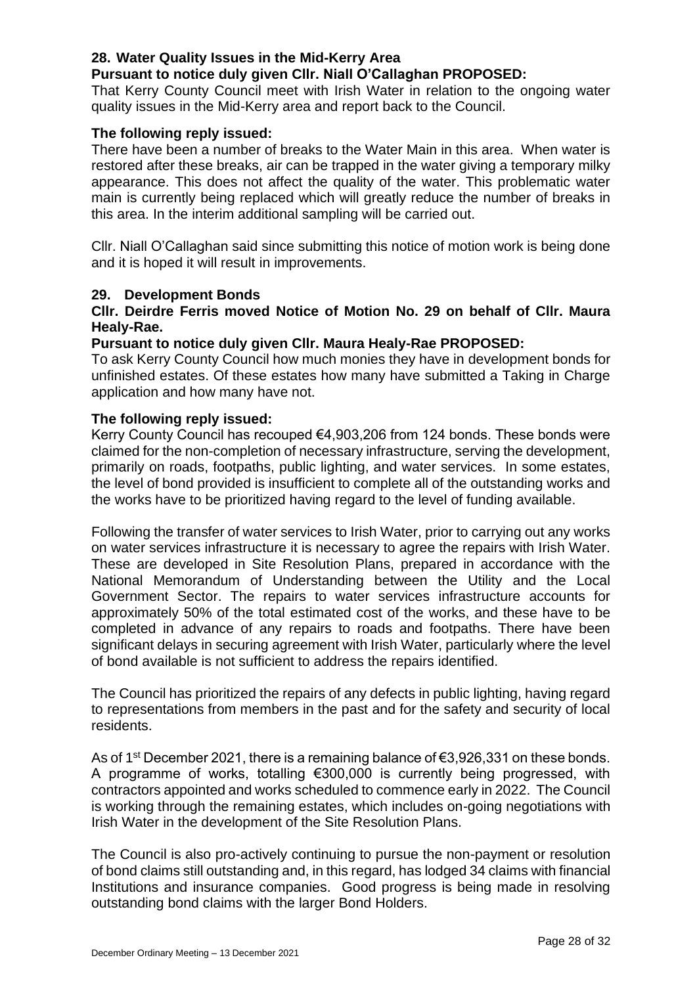## **28. Water Quality Issues in the Mid-Kerry Area**

## **Pursuant to notice duly given Cllr. Niall O'Callaghan PROPOSED:**

That Kerry County Council meet with Irish Water in relation to the ongoing water quality issues in the Mid-Kerry area and report back to the Council.

### **The following reply issued:**

There have been a number of breaks to the Water Main in this area. When water is restored after these breaks, air can be trapped in the water giving a temporary milky appearance. This does not affect the quality of the water. This problematic water main is currently being replaced which will greatly reduce the number of breaks in this area. In the interim additional sampling will be carried out.

Cllr. Niall O'Callaghan said since submitting this notice of motion work is being done and it is hoped it will result in improvements.

### **29. Development Bonds**

## **Cllr. Deirdre Ferris moved Notice of Motion No. 29 on behalf of Cllr. Maura Healy-Rae.**

### **Pursuant to notice duly given Cllr. Maura Healy-Rae PROPOSED:**

To ask Kerry County Council how much monies they have in development bonds for unfinished estates. Of these estates how many have submitted a Taking in Charge application and how many have not.

### **The following reply issued:**

Kerry County Council has recouped €4,903,206 from 124 bonds. These bonds were claimed for the non-completion of necessary infrastructure, serving the development, primarily on roads, footpaths, public lighting, and water services. In some estates, the level of bond provided is insufficient to complete all of the outstanding works and the works have to be prioritized having regard to the level of funding available.

Following the transfer of water services to Irish Water, prior to carrying out any works on water services infrastructure it is necessary to agree the repairs with Irish Water. These are developed in Site Resolution Plans, prepared in accordance with the National Memorandum of Understanding between the Utility and the Local Government Sector. The repairs to water services infrastructure accounts for approximately 50% of the total estimated cost of the works, and these have to be completed in advance of any repairs to roads and footpaths. There have been significant delays in securing agreement with Irish Water, particularly where the level of bond available is not sufficient to address the repairs identified.

The Council has prioritized the repairs of any defects in public lighting, having regard to representations from members in the past and for the safety and security of local residents.

As of 1<sup>st</sup> December 2021, there is a remaining balance of  $\epsilon$ 3,926,331 on these bonds. A programme of works, totalling €300,000 is currently being progressed, with contractors appointed and works scheduled to commence early in 2022. The Council is working through the remaining estates, which includes on-going negotiations with Irish Water in the development of the Site Resolution Plans.

The Council is also pro-actively continuing to pursue the non-payment or resolution of bond claims still outstanding and, in this regard, has lodged 34 claims with financial Institutions and insurance companies. Good progress is being made in resolving outstanding bond claims with the larger Bond Holders.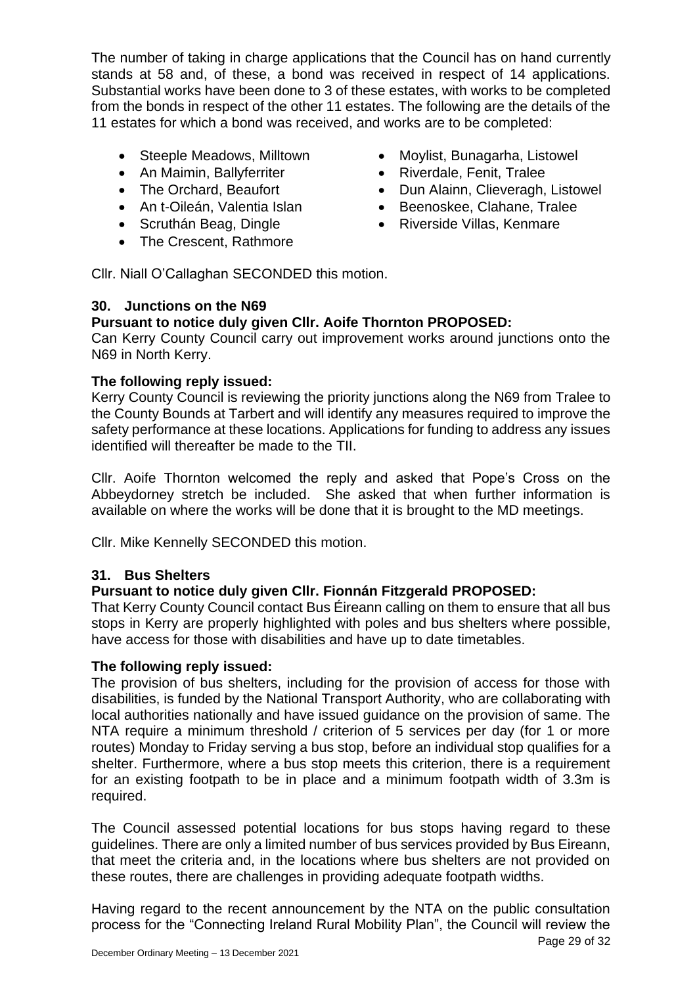The number of taking in charge applications that the Council has on hand currently stands at 58 and, of these, a bond was received in respect of 14 applications. Substantial works have been done to 3 of these estates, with works to be completed from the bonds in respect of the other 11 estates. The following are the details of the 11 estates for which a bond was received, and works are to be completed:

- Steeple Meadows, Milltown
- An Maimin, Ballyferriter
- The Orchard, Beaufort
- An t-Oileán, Valentia Islan
- Scruthán Beag, Dingle
- The Crescent, Rathmore
- Moylist, Bunagarha, Listowel
- Riverdale, Fenit, Tralee
- Dun Alainn, Clieveragh, Listowel
- Beenoskee, Clahane, Tralee
	- Riverside Villas, Kenmare

Cllr. Niall O'Callaghan SECONDED this motion.

# **30. Junctions on the N69**

# **Pursuant to notice duly given Cllr. Aoife Thornton PROPOSED:**

Can Kerry County Council carry out improvement works around junctions onto the N69 in North Kerry.

# **The following reply issued:**

Kerry County Council is reviewing the priority junctions along the N69 from Tralee to the County Bounds at Tarbert and will identify any measures required to improve the safety performance at these locations. Applications for funding to address any issues identified will thereafter be made to the TII.

Cllr. Aoife Thornton welcomed the reply and asked that Pope's Cross on the Abbeydorney stretch be included. She asked that when further information is available on where the works will be done that it is brought to the MD meetings.

Cllr. Mike Kennelly SECONDED this motion.

# **31. Bus Shelters**

# **Pursuant to notice duly given Cllr. Fionnán Fitzgerald PROPOSED:**

That Kerry County Council contact Bus Éireann calling on them to ensure that all bus stops in Kerry are properly highlighted with poles and bus shelters where possible, have access for those with disabilities and have up to date timetables.

# **The following reply issued:**

The provision of bus shelters, including for the provision of access for those with disabilities, is funded by the National Transport Authority, who are collaborating with local authorities nationally and have issued guidance on the provision of same. The NTA require a minimum threshold / criterion of 5 services per day (for 1 or more routes) Monday to Friday serving a bus stop, before an individual stop qualifies for a shelter. Furthermore, where a bus stop meets this criterion, there is a requirement for an existing footpath to be in place and a minimum footpath width of 3.3m is required.

The Council assessed potential locations for bus stops having regard to these guidelines. There are only a limited number of bus services provided by Bus Eireann, that meet the criteria and, in the locations where bus shelters are not provided on these routes, there are challenges in providing adequate footpath widths.

Having regard to the recent announcement by the NTA on the public consultation process for the "Connecting Ireland Rural Mobility Plan", the Council will review the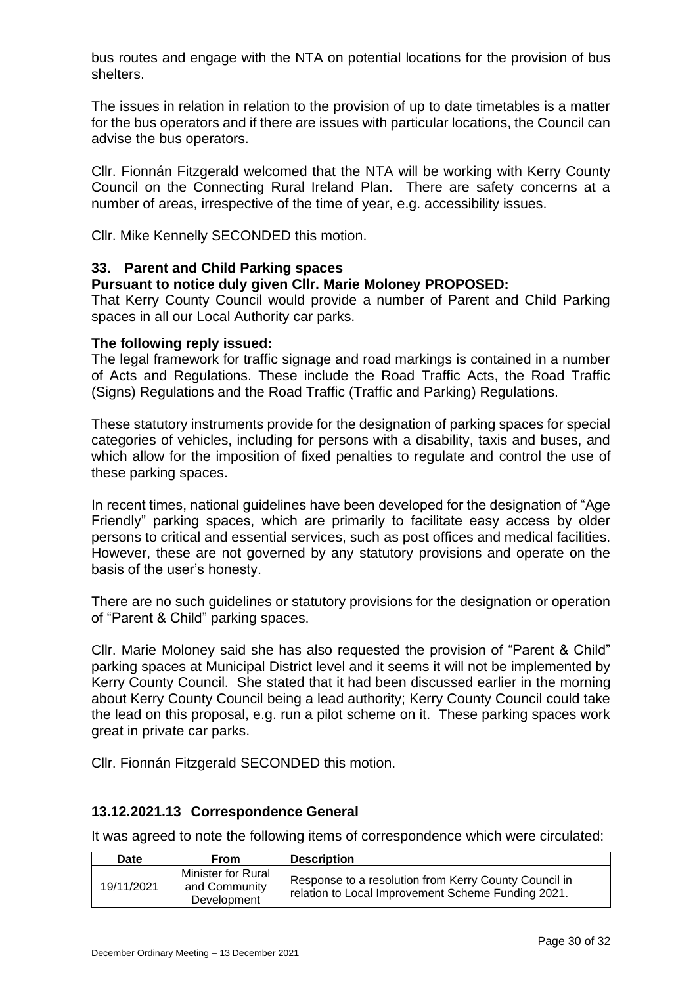bus routes and engage with the NTA on potential locations for the provision of bus shelters.

The issues in relation in relation to the provision of up to date timetables is a matter for the bus operators and if there are issues with particular locations, the Council can advise the bus operators.

Cllr. Fionnán Fitzgerald welcomed that the NTA will be working with Kerry County Council on the Connecting Rural Ireland Plan. There are safety concerns at a number of areas, irrespective of the time of year, e.g. accessibility issues.

Cllr. Mike Kennelly SECONDED this motion.

## **33. Parent and Child Parking spaces**

## **Pursuant to notice duly given Cllr. Marie Moloney PROPOSED:**

That Kerry County Council would provide a number of Parent and Child Parking spaces in all our Local Authority car parks.

### **The following reply issued:**

The legal framework for traffic signage and road markings is contained in a number of Acts and Regulations. These include the Road Traffic Acts, the Road Traffic (Signs) Regulations and the Road Traffic (Traffic and Parking) Regulations.

These statutory instruments provide for the designation of parking spaces for special categories of vehicles, including for persons with a disability, taxis and buses, and which allow for the imposition of fixed penalties to regulate and control the use of these parking spaces.

In recent times, national guidelines have been developed for the designation of "Age Friendly" parking spaces, which are primarily to facilitate easy access by older persons to critical and essential services, such as post offices and medical facilities. However, these are not governed by any statutory provisions and operate on the basis of the user's honesty.

There are no such guidelines or statutory provisions for the designation or operation of "Parent & Child" parking spaces.

Cllr. Marie Moloney said she has also requested the provision of "Parent & Child" parking spaces at Municipal District level and it seems it will not be implemented by Kerry County Council. She stated that it had been discussed earlier in the morning about Kerry County Council being a lead authority; Kerry County Council could take the lead on this proposal, e.g. run a pilot scheme on it. These parking spaces work great in private car parks.

Cllr. Fionnán Fitzgerald SECONDED this motion.

# **13.12.2021.13 Correspondence General**

It was agreed to note the following items of correspondence which were circulated:

| <b>Date</b> | <b>From</b>                                        | <b>Description</b>                                                                                          |
|-------------|----------------------------------------------------|-------------------------------------------------------------------------------------------------------------|
| 19/11/2021  | Minister for Rural<br>and Community<br>Development | Response to a resolution from Kerry County Council in<br>relation to Local Improvement Scheme Funding 2021. |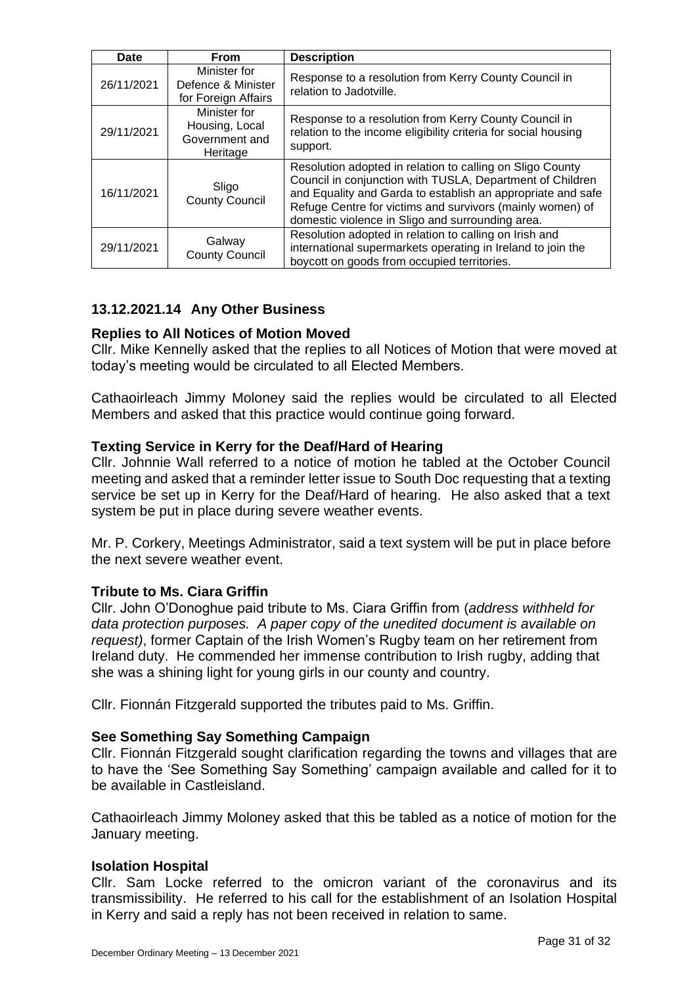| Date       | <b>From</b>                                                  | <b>Description</b>                                                                                                                                                                                                                                                                                     |  |
|------------|--------------------------------------------------------------|--------------------------------------------------------------------------------------------------------------------------------------------------------------------------------------------------------------------------------------------------------------------------------------------------------|--|
| 26/11/2021 | Minister for<br>Defence & Minister<br>for Foreign Affairs    | Response to a resolution from Kerry County Council in<br>relation to Jadotville.                                                                                                                                                                                                                       |  |
| 29/11/2021 | Minister for<br>Housing, Local<br>Government and<br>Heritage | Response to a resolution from Kerry County Council in<br>relation to the income eligibility criteria for social housing<br>support.                                                                                                                                                                    |  |
| 16/11/2021 | Sligo<br><b>County Council</b>                               | Resolution adopted in relation to calling on Sligo County<br>Council in conjunction with TUSLA, Department of Children<br>and Equality and Garda to establish an appropriate and safe<br>Refuge Centre for victims and survivors (mainly women) of<br>domestic violence in Sligo and surrounding area. |  |
| 29/11/2021 | Galway<br><b>County Council</b>                              | Resolution adopted in relation to calling on Irish and<br>international supermarkets operating in Ireland to join the<br>boycott on goods from occupied territories.                                                                                                                                   |  |

# **13.12.2021.14 Any Other Business**

# **Replies to All Notices of Motion Moved**

Cllr. Mike Kennelly asked that the replies to all Notices of Motion that were moved at today's meeting would be circulated to all Elected Members.

Cathaoirleach Jimmy Moloney said the replies would be circulated to all Elected Members and asked that this practice would continue going forward.

# **Texting Service in Kerry for the Deaf/Hard of Hearing**

Cllr. Johnnie Wall referred to a notice of motion he tabled at the October Council meeting and asked that a reminder letter issue to South Doc requesting that a texting service be set up in Kerry for the Deaf/Hard of hearing. He also asked that a text system be put in place during severe weather events.

Mr. P. Corkery, Meetings Administrator, said a text system will be put in place before the next severe weather event.

# **Tribute to Ms. Ciara Griffin**

Cllr. John O'Donoghue paid tribute to Ms. Ciara Griffin from (*address withheld for data protection purposes. A paper copy of the unedited document is available on request)*, former Captain of the Irish Women's Rugby team on her retirement from Ireland duty. He commended her immense contribution to Irish rugby, adding that she was a shining light for young girls in our county and country.

Cllr. Fionnán Fitzgerald supported the tributes paid to Ms. Griffin.

### **See Something Say Something Campaign**

Cllr. Fionnán Fitzgerald sought clarification regarding the towns and villages that are to have the 'See Something Say Something' campaign available and called for it to be available in Castleisland.

Cathaoirleach Jimmy Moloney asked that this be tabled as a notice of motion for the January meeting.

### **Isolation Hospital**

Cllr. Sam Locke referred to the omicron variant of the coronavirus and its transmissibility. He referred to his call for the establishment of an Isolation Hospital in Kerry and said a reply has not been received in relation to same.